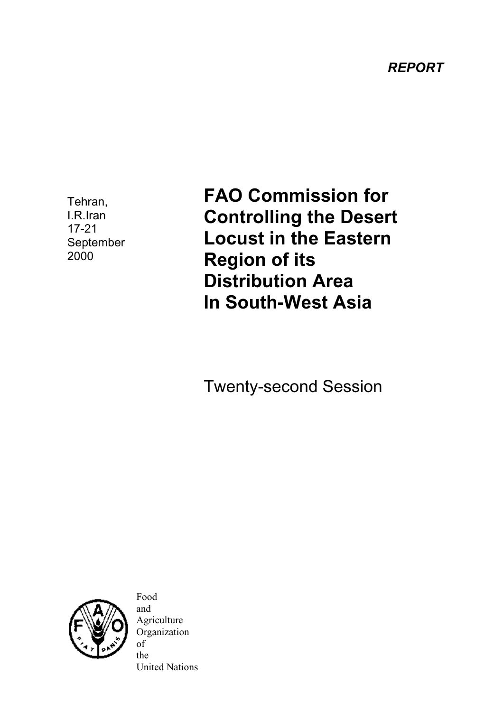*REPORT*

Tehran, I.R.Iran 17-21 September 2000

**FAO Commission for Controlling the Desert Locust in the Eastern Region of its Distribution Area In South-West Asia**

Twenty-second Session



Food and Agriculture Organization of the United Nations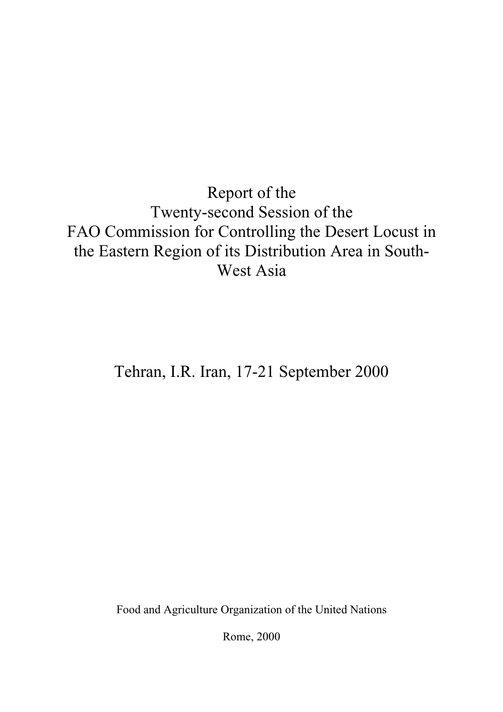Report of the Twenty-second Session of the FAO Commission for Controlling the Desert Locust in the Eastern Region of its Distribution Area in South-West Asia

Tehran, I.R. Iran, 17-21 September 2000

Food and Agriculture Organization of the United Nations

Rome, 2000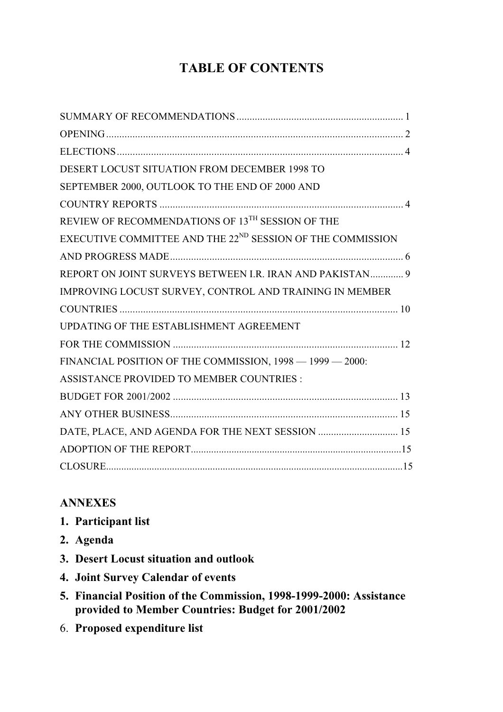# **TABLE OF CONTENTS**

| <b>DESERT LOCUST SITUATION FROM DECEMBER 1998 TO</b>                   |
|------------------------------------------------------------------------|
| SEPTEMBER 2000, OUTLOOK TO THE END OF 2000 AND                         |
|                                                                        |
| REVIEW OF RECOMMENDATIONS OF 13TH SESSION OF THE                       |
| EXECUTIVE COMMITTEE AND THE 22 <sup>ND</sup> SESSION OF THE COMMISSION |
|                                                                        |
| REPORT ON JOINT SURVEYS BETWEEN I.R. IRAN AND PAKISTAN 9               |
| IMPROVING LOCUST SURVEY, CONTROL AND TRAINING IN MEMBER                |
|                                                                        |
| UPDATING OF THE ESTABLISHMENT AGREEMENT                                |
|                                                                        |
| FINANCIAL POSITION OF THE COMMISSION, 1998 - 1999 - 2000:              |
| <b>ASSISTANCE PROVIDED TO MEMBER COUNTRIES:</b>                        |
|                                                                        |
|                                                                        |
| DATE, PLACE, AND AGENDA FOR THE NEXT SESSION  15                       |
|                                                                        |
|                                                                        |

## **ANNEXES**

- **1. Participant list**
- **2. Agenda**
- **3. Desert Locust situation and outlook**
- **4. Joint Survey Calendar of events**
- **5. Financial Position of the Commission, 1998-1999-2000: Assistance provided to Member Countries: Budget for 2001/2002**
- 6. **Proposed expenditure list**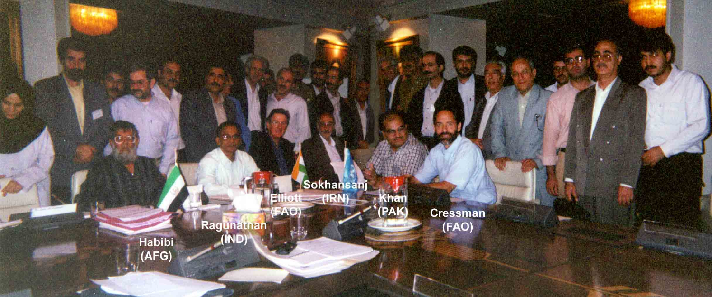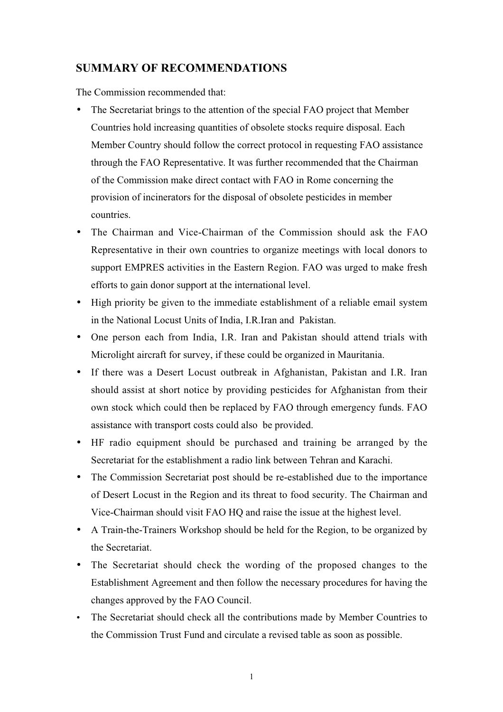### **SUMMARY OF RECOMMENDATIONS**

The Commission recommended that:

- The Secretariat brings to the attention of the special FAO project that Member Countries hold increasing quantities of obsolete stocks require disposal. Each Member Country should follow the correct protocol in requesting FAO assistance through the FAO Representative. It was further recommended that the Chairman of the Commission make direct contact with FAO in Rome concerning the provision of incinerators for the disposal of obsolete pesticides in member countries.
- The Chairman and Vice-Chairman of the Commission should ask the FAO Representative in their own countries to organize meetings with local donors to support EMPRES activities in the Eastern Region. FAO was urged to make fresh efforts to gain donor support at the international level.
- High priority be given to the immediate establishment of a reliable email system in the National Locust Units of India, I.R.Iran and Pakistan.
- One person each from India, I.R. Iran and Pakistan should attend trials with Microlight aircraft for survey, if these could be organized in Mauritania.
- If there was a Desert Locust outbreak in Afghanistan, Pakistan and I.R. Iran should assist at short notice by providing pesticides for Afghanistan from their own stock which could then be replaced by FAO through emergency funds. FAO assistance with transport costs could also be provided.
- HF radio equipment should be purchased and training be arranged by the Secretariat for the establishment a radio link between Tehran and Karachi.
- The Commission Secretariat post should be re-established due to the importance of Desert Locust in the Region and its threat to food security. The Chairman and Vice-Chairman should visit FAO HQ and raise the issue at the highest level.
- A Train-the-Trainers Workshop should be held for the Region, to be organized by the Secretariat.
- The Secretariat should check the wording of the proposed changes to the Establishment Agreement and then follow the necessary procedures for having the changes approved by the FAO Council.
- The Secretariat should check all the contributions made by Member Countries to the Commission Trust Fund and circulate a revised table as soon as possible.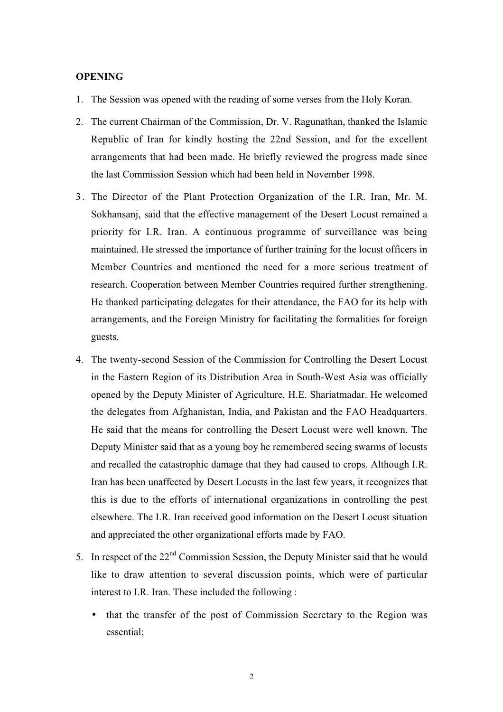#### **OPENING**

- 1. The Session was opened with the reading of some verses from the Holy Koran.
- 2. The current Chairman of the Commission, Dr. V. Ragunathan, thanked the Islamic Republic of Iran for kindly hosting the 22nd Session, and for the excellent arrangements that had been made. He briefly reviewed the progress made since the last Commission Session which had been held in November 1998.
- 3. The Director of the Plant Protection Organization of the I.R. Iran, Mr. M. Sokhansanj, said that the effective management of the Desert Locust remained a priority for I.R. Iran. A continuous programme of surveillance was being maintained. He stressed the importance of further training for the locust officers in Member Countries and mentioned the need for a more serious treatment of research. Cooperation between Member Countries required further strengthening. He thanked participating delegates for their attendance, the FAO for its help with arrangements, and the Foreign Ministry for facilitating the formalities for foreign guests.
- 4. The twenty-second Session of the Commission for Controlling the Desert Locust in the Eastern Region of its Distribution Area in South-West Asia was officially opened by the Deputy Minister of Agriculture, H.E. Shariatmadar. He welcomed the delegates from Afghanistan, India, and Pakistan and the FAO Headquarters. He said that the means for controlling the Desert Locust were well known. The Deputy Minister said that as a young boy he remembered seeing swarms of locusts and recalled the catastrophic damage that they had caused to crops. Although I.R. Iran has been unaffected by Desert Locusts in the last few years, it recognizes that this is due to the efforts of international organizations in controlling the pest elsewhere. The I.R. Iran received good information on the Desert Locust situation and appreciated the other organizational efforts made by FAO.
- 5. In respect of the  $22<sup>nd</sup>$  Commission Session, the Deputy Minister said that he would like to draw attention to several discussion points, which were of particular interest to I.R. Iran. These included the following :
	- that the transfer of the post of Commission Secretary to the Region was essential;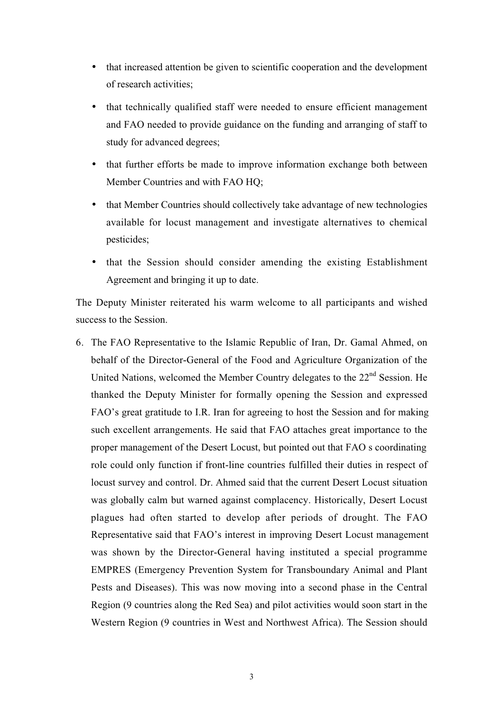- that increased attention be given to scientific cooperation and the development of research activities;
- that technically qualified staff were needed to ensure efficient management and FAO needed to provide guidance on the funding and arranging of staff to study for advanced degrees;
- that further efforts be made to improve information exchange both between Member Countries and with FAO HQ;
- that Member Countries should collectively take advantage of new technologies available for locust management and investigate alternatives to chemical pesticides;
- that the Session should consider amending the existing Establishment Agreement and bringing it up to date.

The Deputy Minister reiterated his warm welcome to all participants and wished success to the Session.

6. The FAO Representative to the Islamic Republic of Iran, Dr. Gamal Ahmed, on behalf of the Director-General of the Food and Agriculture Organization of the United Nations, welcomed the Member Country delegates to the 22<sup>nd</sup> Session. He thanked the Deputy Minister for formally opening the Session and expressed FAO's great gratitude to I.R. Iran for agreeing to host the Session and for making such excellent arrangements. He said that FAO attaches great importance to the proper management of the Desert Locust, but pointed out that FAO s coordinating role could only function if front-line countries fulfilled their duties in respect of locust survey and control. Dr. Ahmed said that the current Desert Locust situation was globally calm but warned against complacency. Historically, Desert Locust plagues had often started to develop after periods of drought. The FAO Representative said that FAO's interest in improving Desert Locust management was shown by the Director-General having instituted a special programme EMPRES (Emergency Prevention System for Transboundary Animal and Plant Pests and Diseases). This was now moving into a second phase in the Central Region (9 countries along the Red Sea) and pilot activities would soon start in the Western Region (9 countries in West and Northwest Africa). The Session should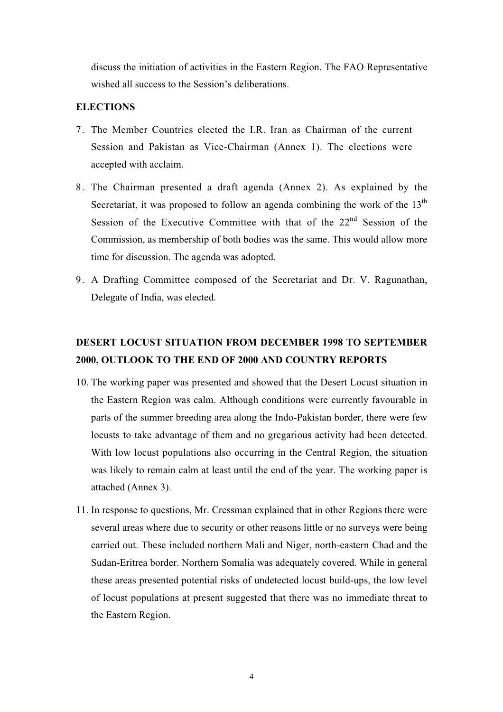discuss the initiation of activities in the Eastern Region. The FAO Representative wished all success to the Session's deliberations.

#### **ELECTIONS**

- 7. The Member Countries elected the I.R. Iran as Chairman of the current Session and Pakistan as Vice-Chairman (Annex 1). The elections were accepted with acclaim.
- 8 . The Chairman presented a draft agenda (Annex 2). As explained by the Secretariat, it was proposed to follow an agenda combining the work of the  $13<sup>th</sup>$ Session of the Executive Committee with that of the  $22<sup>nd</sup>$  Session of the Commission, as membership of both bodies was the same. This would allow more time for discussion. The agenda was adopted.
- 9. A Drafting Committee composed of the Secretariat and Dr. V. Ragunathan, Delegate of India, was elected.

## **DESERT LOCUST SITUATION FROM DECEMBER 1998 TO SEPTEMBER 2000, OUTLOOK TO THE END OF 2000 AND COUNTRY REPORTS**

- 10. The working paper was presented and showed that the Desert Locust situation in the Eastern Region was calm. Although conditions were currently favourable in parts of the summer breeding area along the Indo-Pakistan border, there were few locusts to take advantage of them and no gregarious activity had been detected. With low locust populations also occurring in the Central Region, the situation was likely to remain calm at least until the end of the year. The working paper is attached (Annex 3).
- 11. In response to questions, Mr. Cressman explained that in other Regions there were several areas where due to security or other reasons little or no surveys were being carried out. These included northern Mali and Niger, north-eastern Chad and the Sudan-Eritrea border. Northern Somalia was adequately covered. While in general these areas presented potential risks of undetected locust build-ups, the low level of locust populations at present suggested that there was no immediate threat to the Eastern Region.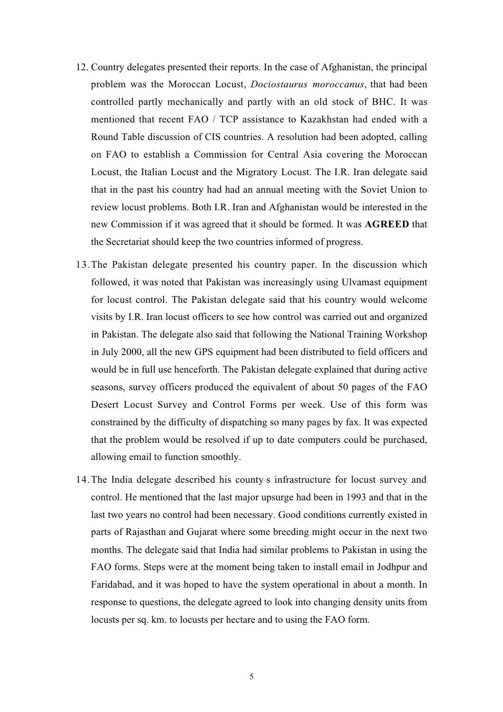- 12. Country delegates presented their reports. In the case of Afghanistan, the principal problem was the Moroccan Locust, *Dociostaurus moroccanus*, that had been controlled partly mechanically and partly with an old stock of BHC. It was mentioned that recent FAO / TCP assistance to Kazakhstan had ended with a Round Table discussion of CIS countries. A resolution had been adopted, calling on FAO to establish a Commission for Central Asia covering the Moroccan Locust, the Italian Locust and the Migratory Locust. The I.R. Iran delegate said that in the past his country had had an annual meeting with the Soviet Union to review locust problems. Both I.R. Iran and Afghanistan would be interested in the new Commission if it was agreed that it should be formed. It was **AGREED** that the Secretariat should keep the two countries informed of progress.
- 13.The Pakistan delegate presented his country paper. In the discussion which followed, it was noted that Pakistan was increasingly using Ulvamast equipment for locust control. The Pakistan delegate said that his country would welcome visits by I.R. Iran locust officers to see how control was carried out and organized in Pakistan. The delegate also said that following the National Training Workshop in July 2000, all the new GPS equipment had been distributed to field officers and would be in full use henceforth. The Pakistan delegate explained that during active seasons, survey officers produced the equivalent of about 50 pages of the FAO Desert Locust Survey and Control Forms per week. Use of this form was constrained by the difficulty of dispatching so many pages by fax. It was expected that the problem would be resolved if up to date computers could be purchased, allowing email to function smoothly.
- 14.The India delegate described his county s infrastructure for locust survey and control. He mentioned that the last major upsurge had been in 1993 and that in the last two years no control had been necessary. Good conditions currently existed in parts of Rajasthan and Gujarat where some breeding might occur in the next two months. The delegate said that India had similar problems to Pakistan in using the FAO forms. Steps were at the moment being taken to install email in Jodhpur and Faridabad, and it was hoped to have the system operational in about a month. In response to questions, the delegate agreed to look into changing density units from locusts per sq. km. to locusts per hectare and to using the FAO form.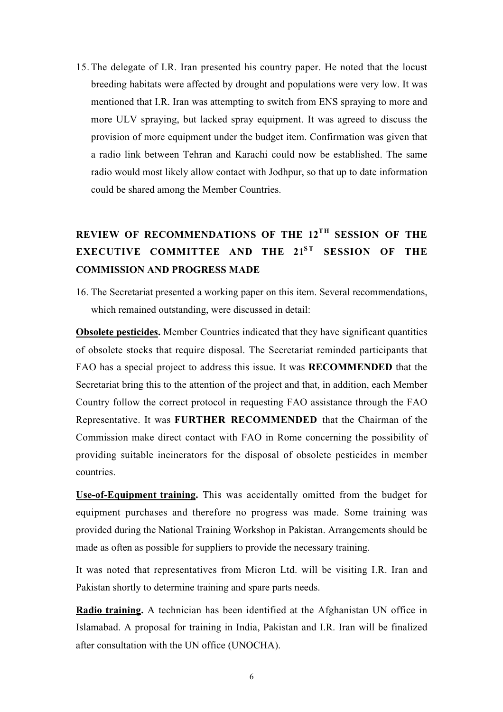15. The delegate of I.R. Iran presented his country paper. He noted that the locust breeding habitats were affected by drought and populations were very low. It was mentioned that I.R. Iran was attempting to switch from ENS spraying to more and more ULV spraying, but lacked spray equipment. It was agreed to discuss the provision of more equipment under the budget item. Confirmation was given that a radio link between Tehran and Karachi could now be established. The same radio would most likely allow contact with Jodhpur, so that up to date information could be shared among the Member Countries.

## REVIEW OF RECOMMENDATIONS OF THE 12<sup>TH</sup> SESSION OF THE **EXECUTIVE COMMITTEE AND THE 21ST SESSION OF THE COMMISSION AND PROGRESS MADE**

16. The Secretariat presented a working paper on this item. Several recommendations, which remained outstanding, were discussed in detail:

**Obsolete pesticides.** Member Countries indicated that they have significant quantities of obsolete stocks that require disposal. The Secretariat reminded participants that FAO has a special project to address this issue. It was **RECOMMENDED** that the Secretariat bring this to the attention of the project and that, in addition, each Member Country follow the correct protocol in requesting FAO assistance through the FAO Representative. It was **FURTHER RECOMMENDED** that the Chairman of the Commission make direct contact with FAO in Rome concerning the possibility of providing suitable incinerators for the disposal of obsolete pesticides in member countries.

**Use-of-Equipment training.** This was accidentally omitted from the budget for equipment purchases and therefore no progress was made. Some training was provided during the National Training Workshop in Pakistan. Arrangements should be made as often as possible for suppliers to provide the necessary training.

It was noted that representatives from Micron Ltd. will be visiting I.R. Iran and Pakistan shortly to determine training and spare parts needs.

**Radio training.** A technician has been identified at the Afghanistan UN office in Islamabad. A proposal for training in India, Pakistan and I.R. Iran will be finalized after consultation with the UN office (UNOCHA).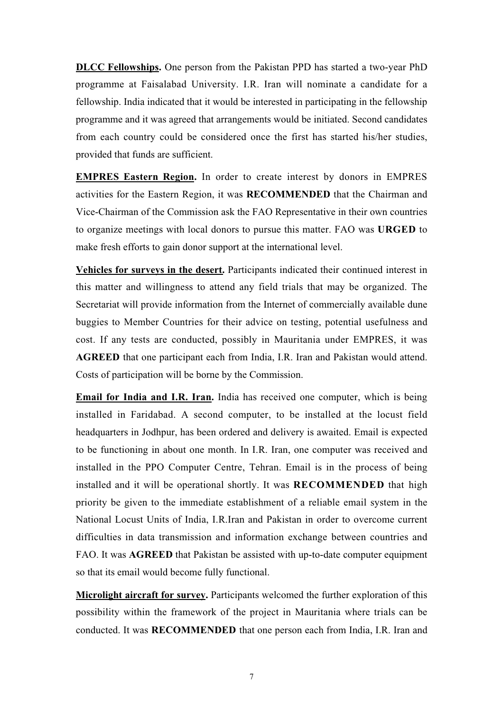**DLCC Fellowships.** One person from the Pakistan PPD has started a two-year PhD programme at Faisalabad University. I.R. Iran will nominate a candidate for a fellowship. India indicated that it would be interested in participating in the fellowship programme and it was agreed that arrangements would be initiated. Second candidates from each country could be considered once the first has started his/her studies, provided that funds are sufficient.

**EMPRES Eastern Region.** In order to create interest by donors in EMPRES activities for the Eastern Region, it was **RECOMMENDED** that the Chairman and Vice-Chairman of the Commission ask the FAO Representative in their own countries to organize meetings with local donors to pursue this matter. FAO was **URGED** to make fresh efforts to gain donor support at the international level.

**Vehicles for surveys in the desert.** Participants indicated their continued interest in this matter and willingness to attend any field trials that may be organized. The Secretariat will provide information from the Internet of commercially available dune buggies to Member Countries for their advice on testing, potential usefulness and cost. If any tests are conducted, possibly in Mauritania under EMPRES, it was **AGREED** that one participant each from India, I.R. Iran and Pakistan would attend. Costs of participation will be borne by the Commission.

**Email for India and I.R. Iran.** India has received one computer, which is being installed in Faridabad. A second computer, to be installed at the locust field headquarters in Jodhpur, has been ordered and delivery is awaited. Email is expected to be functioning in about one month. In I.R. Iran, one computer was received and installed in the PPO Computer Centre, Tehran. Email is in the process of being installed and it will be operational shortly. It was **RECOMMENDED** that high priority be given to the immediate establishment of a reliable email system in the National Locust Units of India, I.R.Iran and Pakistan in order to overcome current difficulties in data transmission and information exchange between countries and FAO. It was **AGREED** that Pakistan be assisted with up-to-date computer equipment so that its email would become fully functional.

**Microlight aircraft for survey.** Participants welcomed the further exploration of this possibility within the framework of the project in Mauritania where trials can be conducted. It was **RECOMMENDED** that one person each from India, I.R. Iran and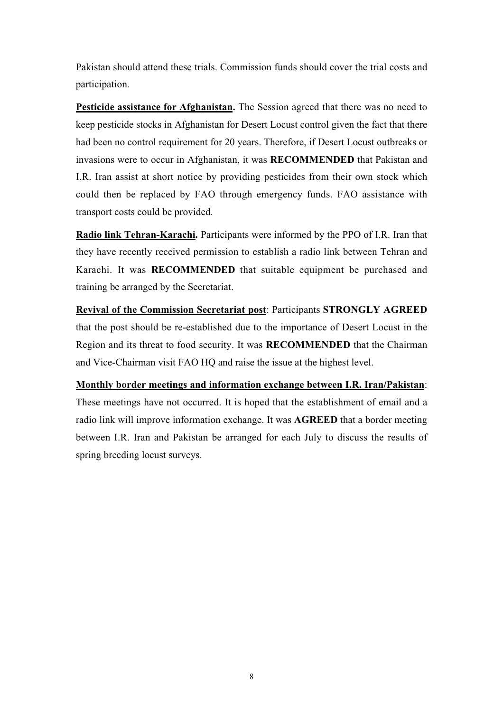Pakistan should attend these trials. Commission funds should cover the trial costs and participation.

**Pesticide assistance for Afghanistan.** The Session agreed that there was no need to keep pesticide stocks in Afghanistan for Desert Locust control given the fact that there had been no control requirement for 20 years. Therefore, if Desert Locust outbreaks or invasions were to occur in Afghanistan, it was **RECOMMENDED** that Pakistan and I.R. Iran assist at short notice by providing pesticides from their own stock which could then be replaced by FAO through emergency funds. FAO assistance with transport costs could be provided.

**Radio link Tehran-Karachi.** Participants were informed by the PPO of I.R. Iran that they have recently received permission to establish a radio link between Tehran and Karachi. It was **RECOMMENDED** that suitable equipment be purchased and training be arranged by the Secretariat.

**Revival of the Commission Secretariat post**: Participants **STRONGLY AGREED** that the post should be re-established due to the importance of Desert Locust in the Region and its threat to food security. It was **RECOMMENDED** that the Chairman and Vice-Chairman visit FAO HQ and raise the issue at the highest level.

**Monthly border meetings and information exchange between I.R. Iran/Pakistan**: These meetings have not occurred. It is hoped that the establishment of email and a radio link will improve information exchange. It was **AGREED** that a border meeting between I.R. Iran and Pakistan be arranged for each July to discuss the results of spring breeding locust surveys.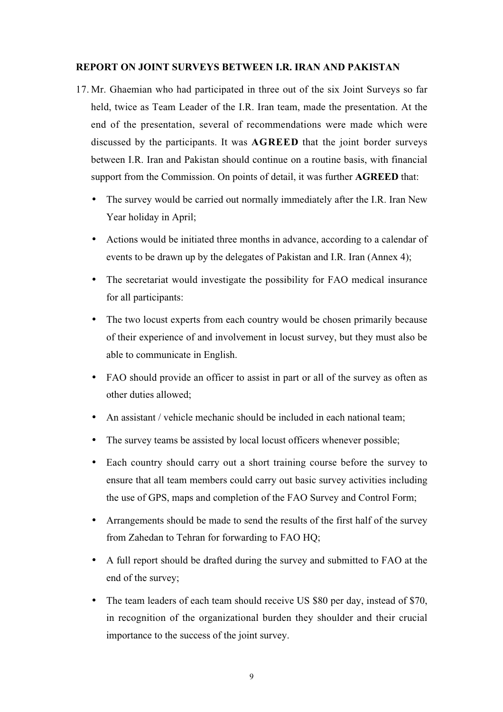#### **REPORT ON JOINT SURVEYS BETWEEN I.R. IRAN AND PAKISTAN**

- 17. Mr. Ghaemian who had participated in three out of the six Joint Surveys so far held, twice as Team Leader of the I.R. Iran team, made the presentation. At the end of the presentation, several of recommendations were made which were discussed by the participants. It was **AGREED** that the joint border surveys between I.R. Iran and Pakistan should continue on a routine basis, with financial support from the Commission. On points of detail, it was further **AGREED** that:
	- The survey would be carried out normally immediately after the I.R. Iran New Year holiday in April;
	- Actions would be initiated three months in advance, according to a calendar of events to be drawn up by the delegates of Pakistan and I.R. Iran (Annex 4);
	- The secretariat would investigate the possibility for FAO medical insurance for all participants:
	- The two locust experts from each country would be chosen primarily because of their experience of and involvement in locust survey, but they must also be able to communicate in English.
	- FAO should provide an officer to assist in part or all of the survey as often as other duties allowed;
	- An assistant / vehicle mechanic should be included in each national team:
	- The survey teams be assisted by local locust officers whenever possible;
	- Each country should carry out a short training course before the survey to ensure that all team members could carry out basic survey activities including the use of GPS, maps and completion of the FAO Survey and Control Form;
	- Arrangements should be made to send the results of the first half of the survey from Zahedan to Tehran for forwarding to FAO HQ;
	- A full report should be drafted during the survey and submitted to FAO at the end of the survey;
	- The team leaders of each team should receive US \$80 per day, instead of \$70, in recognition of the organizational burden they shoulder and their crucial importance to the success of the joint survey.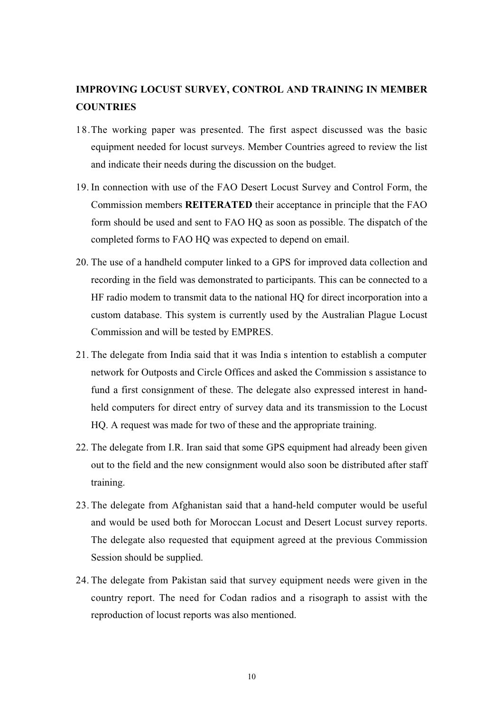## **IMPROVING LOCUST SURVEY, CONTROL AND TRAINING IN MEMBER COUNTRIES**

- 18.The working paper was presented. The first aspect discussed was the basic equipment needed for locust surveys. Member Countries agreed to review the list and indicate their needs during the discussion on the budget.
- 19. In connection with use of the FAO Desert Locust Survey and Control Form, the Commission members **REITERATED** their acceptance in principle that the FAO form should be used and sent to FAO HQ as soon as possible. The dispatch of the completed forms to FAO HQ was expected to depend on email.
- 20. The use of a handheld computer linked to a GPS for improved data collection and recording in the field was demonstrated to participants. This can be connected to a HF radio modem to transmit data to the national HQ for direct incorporation into a custom database. This system is currently used by the Australian Plague Locust Commission and will be tested by EMPRES.
- 21. The delegate from India said that it was India s intention to establish a computer network for Outposts and Circle Offices and asked the Commission s assistance to fund a first consignment of these. The delegate also expressed interest in handheld computers for direct entry of survey data and its transmission to the Locust HQ. A request was made for two of these and the appropriate training.
- 22. The delegate from I.R. Iran said that some GPS equipment had already been given out to the field and the new consignment would also soon be distributed after staff training.
- 23. The delegate from Afghanistan said that a hand-held computer would be useful and would be used both for Moroccan Locust and Desert Locust survey reports. The delegate also requested that equipment agreed at the previous Commission Session should be supplied.
- 24. The delegate from Pakistan said that survey equipment needs were given in the country report. The need for Codan radios and a risograph to assist with the reproduction of locust reports was also mentioned.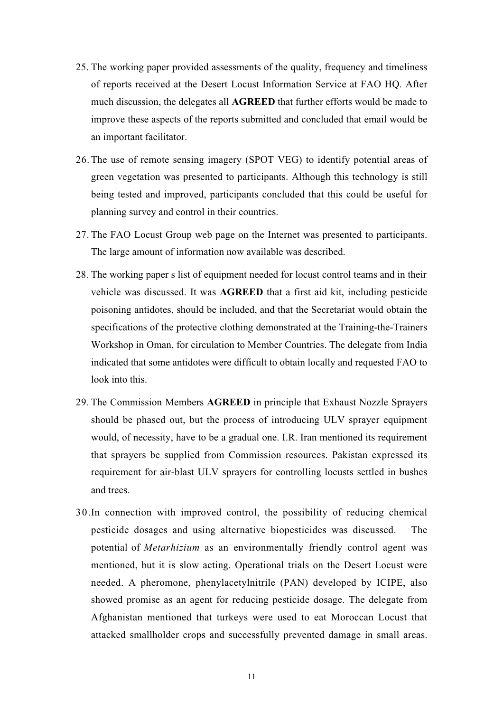- 25. The working paper provided assessments of the quality, frequency and timeliness of reports received at the Desert Locust Information Service at FAO HQ. After much discussion, the delegates all **AGREED** that further efforts would be made to improve these aspects of the reports submitted and concluded that email would be an important facilitator.
- 26. The use of remote sensing imagery (SPOT VEG) to identify potential areas of green vegetation was presented to participants. Although this technology is still being tested and improved, participants concluded that this could be useful for planning survey and control in their countries.
- 27. The FAO Locust Group web page on the Internet was presented to participants. The large amount of information now available was described.
- 28. The working paper s list of equipment needed for locust control teams and in their vehicle was discussed. It was **AGREED** that a first aid kit, including pesticide poisoning antidotes, should be included, and that the Secretariat would obtain the specifications of the protective clothing demonstrated at the Training-the-Trainers Workshop in Oman, for circulation to Member Countries. The delegate from India indicated that some antidotes were difficult to obtain locally and requested FAO to look into this.
- 29. The Commission Members **AGREED** in principle that Exhaust Nozzle Sprayers should be phased out, but the process of introducing ULV sprayer equipment would, of necessity, have to be a gradual one. I.R. Iran mentioned its requirement that sprayers be supplied from Commission resources. Pakistan expressed its requirement for air-blast ULV sprayers for controlling locusts settled in bushes and trees.
- 30.In connection with improved control, the possibility of reducing chemical pesticide dosages and using alternative biopesticides was discussed. The potential of *Metarhizium* as an environmentally friendly control agent was mentioned, but it is slow acting. Operational trials on the Desert Locust were needed. A pheromone, phenylacetylnitrile (PAN) developed by ICIPE, also showed promise as an agent for reducing pesticide dosage. The delegate from Afghanistan mentioned that turkeys were used to eat Moroccan Locust that attacked smallholder crops and successfully prevented damage in small areas.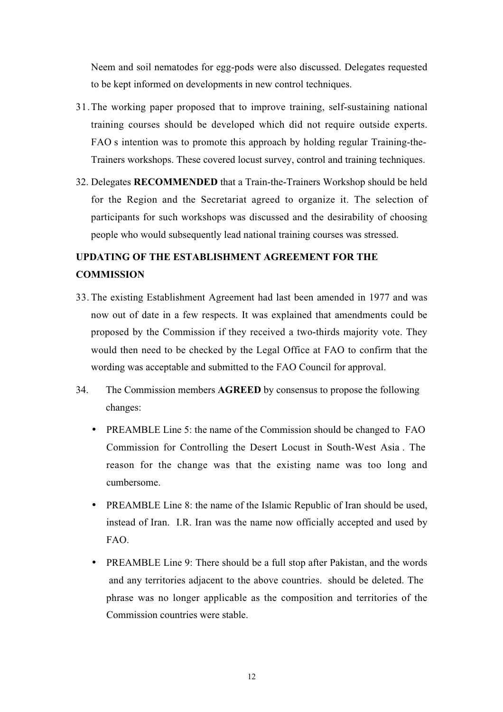Neem and soil nematodes for egg-pods were also discussed. Delegates requested to be kept informed on developments in new control techniques.

- 31.The working paper proposed that to improve training, self-sustaining national training courses should be developed which did not require outside experts. FAO s intention was to promote this approach by holding regular Training-the-Trainers workshops. These covered locust survey, control and training techniques.
- 32. Delegates **RECOMMENDED** that a Train-the-Trainers Workshop should be held for the Region and the Secretariat agreed to organize it. The selection of participants for such workshops was discussed and the desirability of choosing people who would subsequently lead national training courses was stressed.

## **UPDATING OF THE ESTABLISHMENT AGREEMENT FOR THE COMMISSION**

- 33. The existing Establishment Agreement had last been amended in 1977 and was now out of date in a few respects. It was explained that amendments could be proposed by the Commission if they received a two-thirds majority vote. They would then need to be checked by the Legal Office at FAO to confirm that the wording was acceptable and submitted to the FAO Council for approval.
- 34.The Commission members **AGREED** by consensus to propose the following changes:
	- PREAMBLE Line 5: the name of the Commission should be changed to FAO Commission for Controlling the Desert Locust in South-West Asia . The reason for the change was that the existing name was too long and cumbersome.
	- PREAMBLE Line 8: the name of the Islamic Republic of Iran should be used, instead of Iran. I.R. Iran was the name now officially accepted and used by FAO.
	- PREAMBLE Line 9: There should be a full stop after Pakistan, and the words and any territories adjacent to the above countries. should be deleted. The phrase was no longer applicable as the composition and territories of the Commission countries were stable.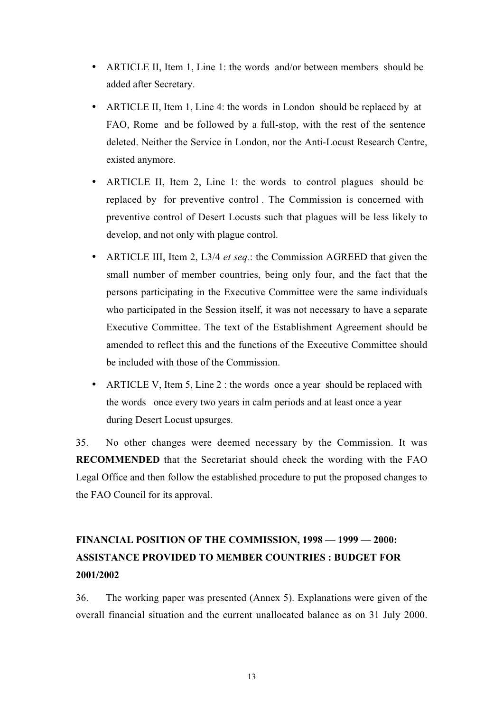- ARTICLE II, Item 1, Line 1: the words and/or between members should be added after Secretary.
- ARTICLE II, Item 1, Line 4: the words in London should be replaced by at FAO, Rome and be followed by a full-stop, with the rest of the sentence deleted. Neither the Service in London, nor the Anti-Locust Research Centre, existed anymore.
- ARTICLE II, Item 2, Line 1: the words to control plagues should be replaced by for preventive control . The Commission is concerned with preventive control of Desert Locusts such that plagues will be less likely to develop, and not only with plague control.
- ARTICLE III, Item 2, L3/4 *et seq.*: the Commission AGREED that given the small number of member countries, being only four, and the fact that the persons participating in the Executive Committee were the same individuals who participated in the Session itself, it was not necessary to have a separate Executive Committee. The text of the Establishment Agreement should be amended to reflect this and the functions of the Executive Committee should be included with those of the Commission.
- ARTICLE V, Item 5, Line 2 : the words once a year should be replaced with the words once every two years in calm periods and at least once a year during Desert Locust upsurges.

35.No other changes were deemed necessary by the Commission. It was **RECOMMENDED** that the Secretariat should check the wording with the FAO Legal Office and then follow the established procedure to put the proposed changes to the FAO Council for its approval.

## **FINANCIAL POSITION OF THE COMMISSION, 1998 — 1999 — 2000: ASSISTANCE PROVIDED TO MEMBER COUNTRIES : BUDGET FOR 2001/2002**

36. The working paper was presented (Annex 5). Explanations were given of the overall financial situation and the current unallocated balance as on 31 July 2000.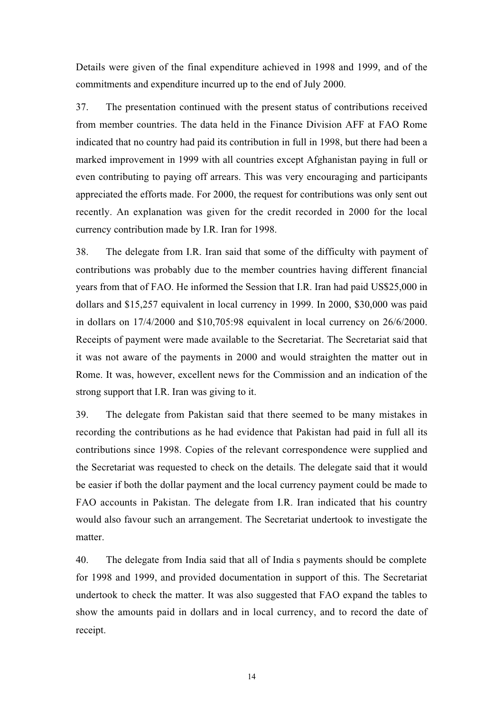Details were given of the final expenditure achieved in 1998 and 1999, and of the commitments and expenditure incurred up to the end of July 2000.

37.The presentation continued with the present status of contributions received from member countries. The data held in the Finance Division AFF at FAO Rome indicated that no country had paid its contribution in full in 1998, but there had been a marked improvement in 1999 with all countries except Afghanistan paying in full or even contributing to paying off arrears. This was very encouraging and participants appreciated the efforts made. For 2000, the request for contributions was only sent out recently. An explanation was given for the credit recorded in 2000 for the local currency contribution made by I.R. Iran for 1998.

38. The delegate from I.R. Iran said that some of the difficulty with payment of contributions was probably due to the member countries having different financial years from that of FAO. He informed the Session that I.R. Iran had paid US\$25,000 in dollars and \$15,257 equivalent in local currency in 1999. In 2000, \$30,000 was paid in dollars on 17/4/2000 and \$10,705:98 equivalent in local currency on 26/6/2000. Receipts of payment were made available to the Secretariat. The Secretariat said that it was not aware of the payments in 2000 and would straighten the matter out in Rome. It was, however, excellent news for the Commission and an indication of the strong support that I.R. Iran was giving to it.

39.The delegate from Pakistan said that there seemed to be many mistakes in recording the contributions as he had evidence that Pakistan had paid in full all its contributions since 1998. Copies of the relevant correspondence were supplied and the Secretariat was requested to check on the details. The delegate said that it would be easier if both the dollar payment and the local currency payment could be made to FAO accounts in Pakistan. The delegate from I.R. Iran indicated that his country would also favour such an arrangement. The Secretariat undertook to investigate the matter.

40.The delegate from India said that all of India s payments should be complete for 1998 and 1999, and provided documentation in support of this. The Secretariat undertook to check the matter. It was also suggested that FAO expand the tables to show the amounts paid in dollars and in local currency, and to record the date of receipt.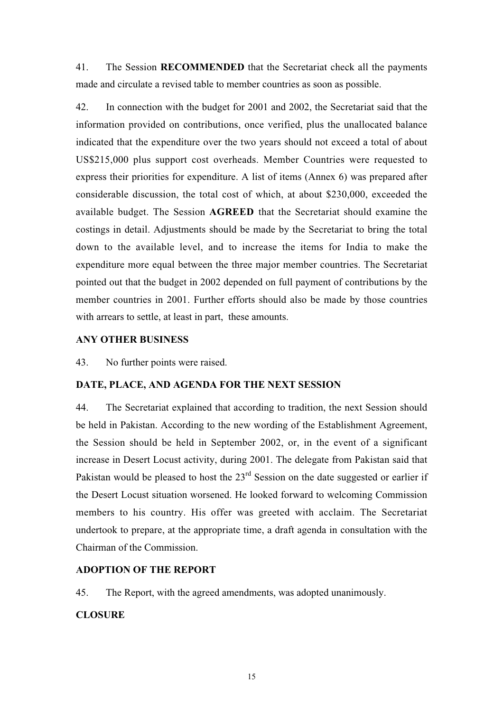41.The Session **RECOMMENDED** that the Secretariat check all the payments made and circulate a revised table to member countries as soon as possible.

42.In connection with the budget for 2001 and 2002, the Secretariat said that the information provided on contributions, once verified, plus the unallocated balance indicated that the expenditure over the two years should not exceed a total of about US\$215,000 plus support cost overheads. Member Countries were requested to express their priorities for expenditure. A list of items (Annex 6) was prepared after considerable discussion, the total cost of which, at about \$230,000, exceeded the available budget. The Session **AGREED** that the Secretariat should examine the costings in detail. Adjustments should be made by the Secretariat to bring the total down to the available level, and to increase the items for India to make the expenditure more equal between the three major member countries. The Secretariat pointed out that the budget in 2002 depended on full payment of contributions by the member countries in 2001. Further efforts should also be made by those countries with arrears to settle, at least in part, these amounts.

#### **ANY OTHER BUSINESS**

43. No further points were raised.

#### **DATE, PLACE, AND AGENDA FOR THE NEXT SESSION**

44. The Secretariat explained that according to tradition, the next Session should be held in Pakistan. According to the new wording of the Establishment Agreement, the Session should be held in September 2002, or, in the event of a significant increase in Desert Locust activity, during 2001. The delegate from Pakistan said that Pakistan would be pleased to host the  $23<sup>rd</sup>$  Session on the date suggested or earlier if the Desert Locust situation worsened. He looked forward to welcoming Commission members to his country. His offer was greeted with acclaim. The Secretariat undertook to prepare, at the appropriate time, a draft agenda in consultation with the Chairman of the Commission.

#### **ADOPTION OF THE REPORT**

45. The Report, with the agreed amendments, was adopted unanimously.

#### **CLOSURE**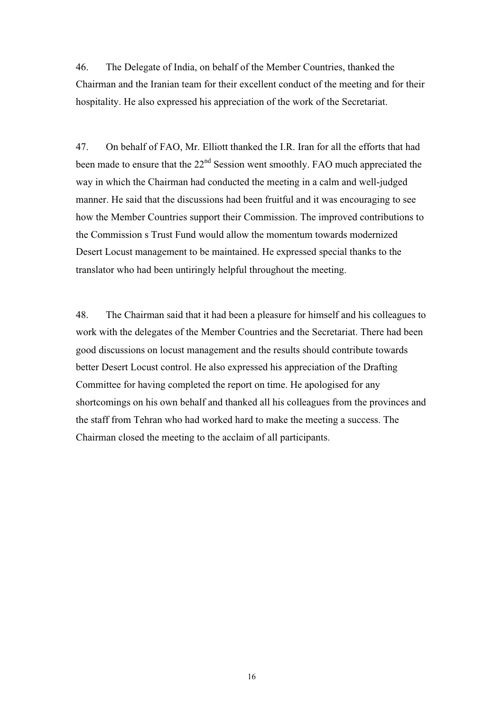46.The Delegate of India, on behalf of the Member Countries, thanked the Chairman and the Iranian team for their excellent conduct of the meeting and for their hospitality. He also expressed his appreciation of the work of the Secretariat.

47. On behalf of FAO, Mr. Elliott thanked the I.R. Iran for all the efforts that had been made to ensure that the 22<sup>nd</sup> Session went smoothly. FAO much appreciated the way in which the Chairman had conducted the meeting in a calm and well-judged manner. He said that the discussions had been fruitful and it was encouraging to see how the Member Countries support their Commission. The improved contributions to the Commission s Trust Fund would allow the momentum towards modernized Desert Locust management to be maintained. He expressed special thanks to the translator who had been untiringly helpful throughout the meeting.

48.The Chairman said that it had been a pleasure for himself and his colleagues to work with the delegates of the Member Countries and the Secretariat. There had been good discussions on locust management and the results should contribute towards better Desert Locust control. He also expressed his appreciation of the Drafting Committee for having completed the report on time. He apologised for any shortcomings on his own behalf and thanked all his colleagues from the provinces and the staff from Tehran who had worked hard to make the meeting a success. The Chairman closed the meeting to the acclaim of all participants.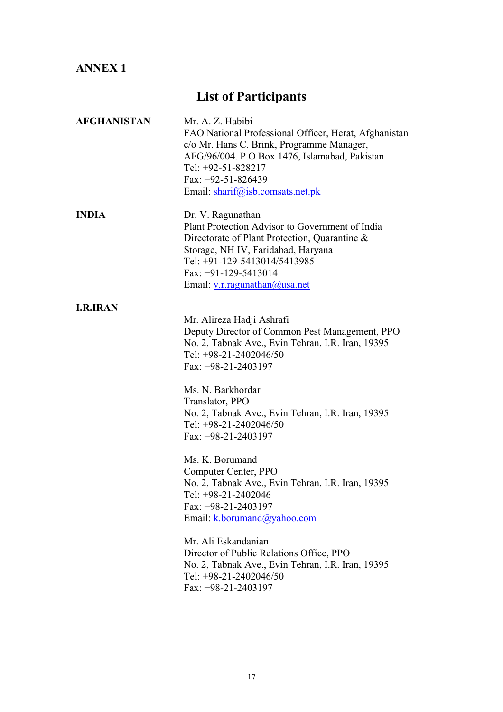## **ANNEX 1**

# **List of Participants**

| <b>AFGHANISTAN</b> | Mr. A. Z. Habibi<br>FAO National Professional Officer, Herat, Afghanistan<br>c/o Mr. Hans C. Brink, Programme Manager,<br>AFG/96/004. P.O.Box 1476, Islamabad, Pakistan<br>Tel: +92-51-828217<br>Fax: $+92-51-826439$<br>Email: sharif@isb.comsats.net.pk                                                                           |
|--------------------|-------------------------------------------------------------------------------------------------------------------------------------------------------------------------------------------------------------------------------------------------------------------------------------------------------------------------------------|
| <b>INDIA</b>       | Dr. V. Ragunathan<br>Plant Protection Advisor to Government of India<br>Directorate of Plant Protection, Quarantine &<br>Storage, NH IV, Faridabad, Haryana<br>Tel: +91-129-5413014/5413985<br>Fax: $+91-129-5413014$<br>Email: v.r.ragunathan@usa.net                                                                              |
| <b>I.R.IRAN</b>    | Mr. Alireza Hadji Ashrafi<br>Deputy Director of Common Pest Management, PPO<br>No. 2, Tabnak Ave., Evin Tehran, I.R. Iran, 19395<br>Tel: +98-21-2402046/50<br>Fax: $+98-21-2403197$<br>Ms. N. Barkhordar<br>Translator, PPO<br>No. 2, Tabnak Ave., Evin Tehran, I.R. Iran, 19395<br>Tel: +98-21-2402046/50<br>Fax: $+98-21-2403197$ |
|                    | Ms. K. Borumand<br>Computer Center, PPO<br>No. 2, Tabnak Ave., Evin Tehran, I.R. Iran, 19395<br>Tel: +98-21-2402046<br>Fax: $+98-21-2403197$<br>Email: k.borumand@yahoo.com                                                                                                                                                         |
|                    | Mr. Ali Eskandanian<br>Director of Public Relations Office, PPO<br>No. 2, Tabnak Ave., Evin Tehran, I.R. Iran, 19395<br>Tel: +98-21-2402046/50<br>Fax: $+98-21-2403197$                                                                                                                                                             |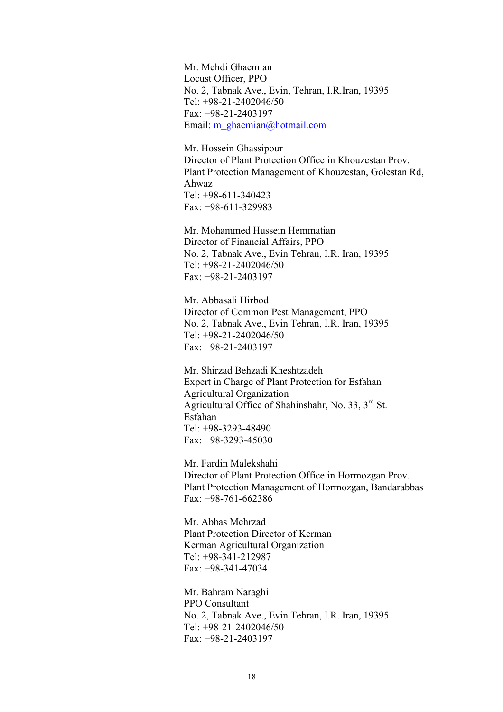Mr. Mehdi Ghaemian Locust Officer, PPO No. 2, Tabnak Ave., Evin, Tehran, I.R.Iran, 19395 Tel: +98-21-2402046/50 Fax: +98-21-2403197 Email: m\_ghaemian@hotmail.com

Mr. Hossein Ghassipour Director of Plant Protection Office in Khouzestan Prov. Plant Protection Management of Khouzestan, Golestan Rd, Ahwaz Tel: +98-611-340423 Fax: +98-611-329983

Mr. Mohammed Hussein Hemmatian Director of Financial Affairs, PPO No. 2, Tabnak Ave., Evin Tehran, I.R. Iran, 19395 Tel: +98-21-2402046/50 Fax: +98-21-2403197

Mr. Abbasali Hirbod Director of Common Pest Management, PPO No. 2, Tabnak Ave., Evin Tehran, I.R. Iran, 19395 Tel: +98-21-2402046/50 Fax: +98-21-2403197

Mr. Shirzad Behzadi Kheshtzadeh Expert in Charge of Plant Protection for Esfahan Agricultural Organization Agricultural Office of Shahinshahr, No. 33, 3rd St. Esfahan Tel: +98-3293-48490 Fax: +98-3293-45030

Mr. Fardin Malekshahi Director of Plant Protection Office in Hormozgan Prov. Plant Protection Management of Hormozgan, Bandarabbas Fax: +98-761-662386

Mr. Abbas Mehrzad Plant Protection Director of Kerman Kerman Agricultural Organization Tel: +98-341-212987 Fax: +98-341-47034

Mr. Bahram Naraghi PPO Consultant No. 2, Tabnak Ave., Evin Tehran, I.R. Iran, 19395 Tel: +98-21-2402046/50 Fax: +98-21-2403197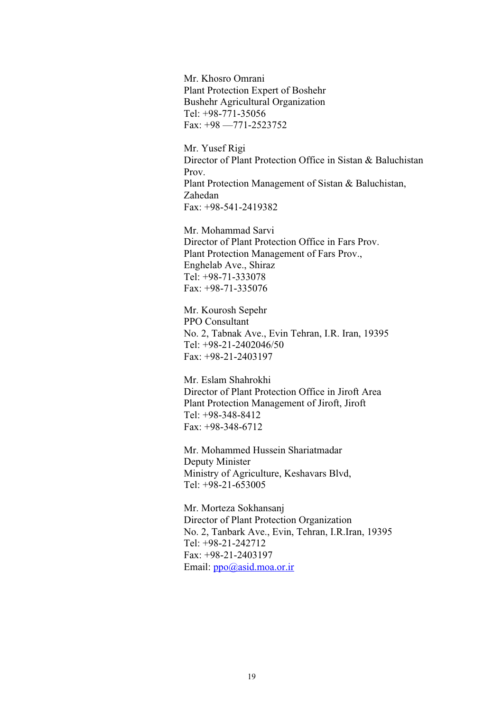Mr. Khosro Omrani Plant Protection Expert of Boshehr Bushehr Agricultural Organization Tel: +98-771-35056 Fax: +98 —771-2523752

Mr. Yusef Rigi Director of Plant Protection Office in Sistan & Baluchistan Prov. Plant Protection Management of Sistan & Baluchistan, Zahedan Fax: +98-541-2419382

Mr. Mohammad Sarvi Director of Plant Protection Office in Fars Prov. Plant Protection Management of Fars Prov., Enghelab Ave., Shiraz Tel: +98-71-333078 Fax: +98-71-335076

Mr. Kourosh Sepehr PPO Consultant No. 2, Tabnak Ave., Evin Tehran, I.R. Iran, 19395 Tel: +98-21-2402046/50 Fax: +98-21-2403197

Mr. Eslam Shahrokhi Director of Plant Protection Office in Jiroft Area Plant Protection Management of Jiroft, Jiroft Tel: +98-348-8412 Fax: +98-348-6712

Mr. Mohammed Hussein Shariatmadar Deputy Minister Ministry of Agriculture, Keshavars Blvd, Tel: +98-21-653005

Mr. Morteza Sokhansanj Director of Plant Protection Organization No. 2, Tanbark Ave., Evin, Tehran, I.R.Iran, 19395 Tel: +98-21-242712 Fax: +98-21-2403197 Email: ppo@asid.moa.or.ir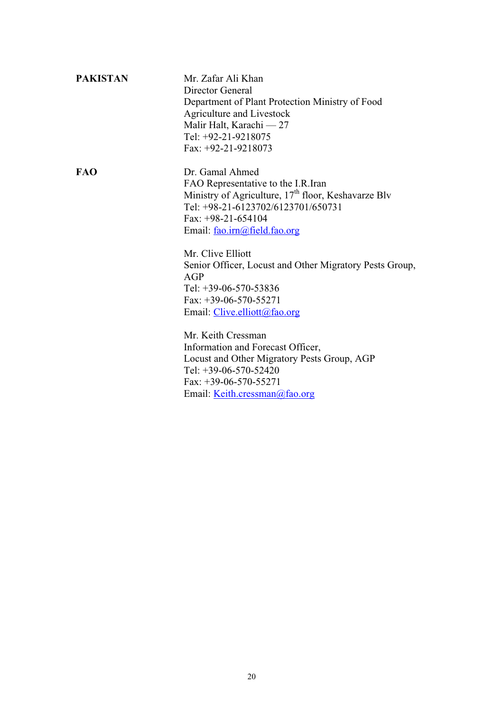| <b>PAKISTAN</b> | Mr. Zafar Ali Khan                                              |  |  |  |  |  |
|-----------------|-----------------------------------------------------------------|--|--|--|--|--|
|                 | Director General                                                |  |  |  |  |  |
|                 | Department of Plant Protection Ministry of Food                 |  |  |  |  |  |
|                 | Agriculture and Livestock                                       |  |  |  |  |  |
|                 | Malir Halt, Karachi — $27$                                      |  |  |  |  |  |
|                 | Tel: $+92-21-9218075$                                           |  |  |  |  |  |
|                 | Fax: $+92-21-9218073$                                           |  |  |  |  |  |
| <b>FAO</b>      | Dr. Gamal Ahmed                                                 |  |  |  |  |  |
|                 | FAO Representative to the I.R. Iran                             |  |  |  |  |  |
|                 | Ministry of Agriculture, 17 <sup>th</sup> floor, Keshavarze Blv |  |  |  |  |  |
|                 | Tel: +98-21-6123702/6123701/650731                              |  |  |  |  |  |
|                 | Fax: $+98-21-654104$                                            |  |  |  |  |  |
|                 | Email: fao.irn@field.fao.org                                    |  |  |  |  |  |
|                 | Mr. Clive Elliott                                               |  |  |  |  |  |
|                 | Senior Officer, Locust and Other Migratory Pests Group,         |  |  |  |  |  |
|                 | AGP                                                             |  |  |  |  |  |
|                 | Tel: $+39-06-570-53836$                                         |  |  |  |  |  |
|                 | Fax: $+39-06-570-55271$                                         |  |  |  |  |  |
|                 | Email: <i>Clive.elliott@fao.org</i>                             |  |  |  |  |  |
|                 | Mr. Keith Cressman                                              |  |  |  |  |  |
|                 | Information and Forecast Officer,                               |  |  |  |  |  |
|                 | Locust and Other Migratory Pests Group, AGP                     |  |  |  |  |  |
|                 | Tel: +39-06-570-52420                                           |  |  |  |  |  |
|                 | Fax: $+39-06-570-55271$                                         |  |  |  |  |  |

Email: Keith.cressman@fao.org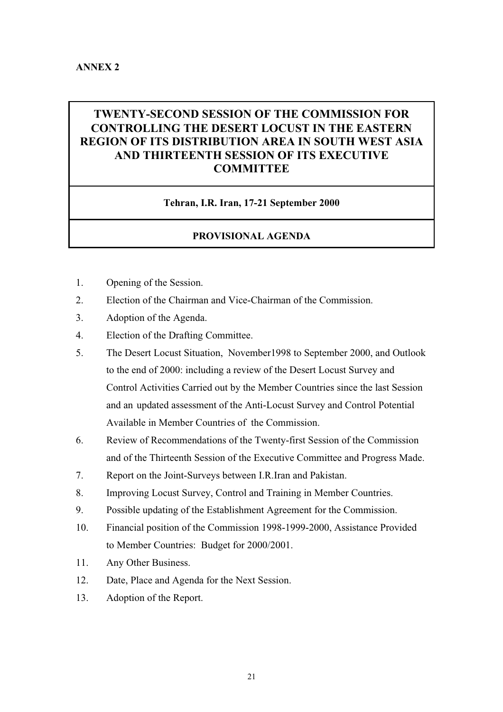### **TWENTY-SECOND SESSION OF THE COMMISSION FOR CONTROLLING THE DESERT LOCUST IN THE EASTERN REGION OF ITS DISTRIBUTION AREA IN SOUTH WEST ASIA AND THIRTEENTH SESSION OF ITS EXECUTIVE COMMITTEE**

#### **Tehran, I.R. Iran, 17-21 September 2000**

#### **PROVISIONAL AGENDA**

- 1. Opening of the Session.
- 2. Election of the Chairman and Vice-Chairman of the Commission.
- 3. Adoption of the Agenda.
- 4.Election of the Drafting Committee.
- 5. The Desert Locust Situation, November1998 to September 2000, and Outlook to the end of 2000: including a review of the Desert Locust Survey and Control Activities Carried out by the Member Countries since the last Session and an updated assessment of the Anti-Locust Survey and Control Potential Available in Member Countries of the Commission.
- 6.Review of Recommendations of the Twenty-first Session of the Commission and of the Thirteenth Session of the Executive Committee and Progress Made.
- 7. Report on the Joint-Surveys between I.R.Iran and Pakistan.
- 8. Improving Locust Survey, Control and Training in Member Countries.
- 9.Possible updating of the Establishment Agreement for the Commission.
- 10. Financial position of the Commission 1998-1999-2000, Assistance Provided to Member Countries: Budget for 2000/2001.
- 11. Any Other Business.
- 12. Date, Place and Agenda for the Next Session.
- 13. Adoption of the Report.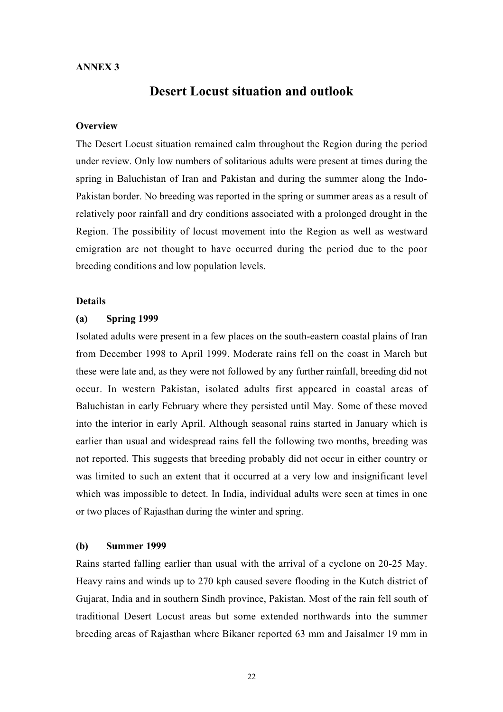#### **ANNEX 3**

### **Desert Locust situation and outlook**

#### **Overview**

The Desert Locust situation remained calm throughout the Region during the period under review. Only low numbers of solitarious adults were present at times during the spring in Baluchistan of Iran and Pakistan and during the summer along the Indo-Pakistan border. No breeding was reported in the spring or summer areas as a result of relatively poor rainfall and dry conditions associated with a prolonged drought in the Region. The possibility of locust movement into the Region as well as westward emigration are not thought to have occurred during the period due to the poor breeding conditions and low population levels.

#### **Details**

#### **(a) Spring 1999**

Isolated adults were present in a few places on the south-eastern coastal plains of Iran from December 1998 to April 1999. Moderate rains fell on the coast in March but these were late and, as they were not followed by any further rainfall, breeding did not occur. In western Pakistan, isolated adults first appeared in coastal areas of Baluchistan in early February where they persisted until May. Some of these moved into the interior in early April. Although seasonal rains started in January which is earlier than usual and widespread rains fell the following two months, breeding was not reported. This suggests that breeding probably did not occur in either country or was limited to such an extent that it occurred at a very low and insignificant level which was impossible to detect. In India, individual adults were seen at times in one or two places of Rajasthan during the winter and spring.

#### **(b) Summer 1999**

Rains started falling earlier than usual with the arrival of a cyclone on 20-25 May. Heavy rains and winds up to 270 kph caused severe flooding in the Kutch district of Gujarat, India and in southern Sindh province, Pakistan. Most of the rain fell south of traditional Desert Locust areas but some extended northwards into the summer breeding areas of Rajasthan where Bikaner reported 63 mm and Jaisalmer 19 mm in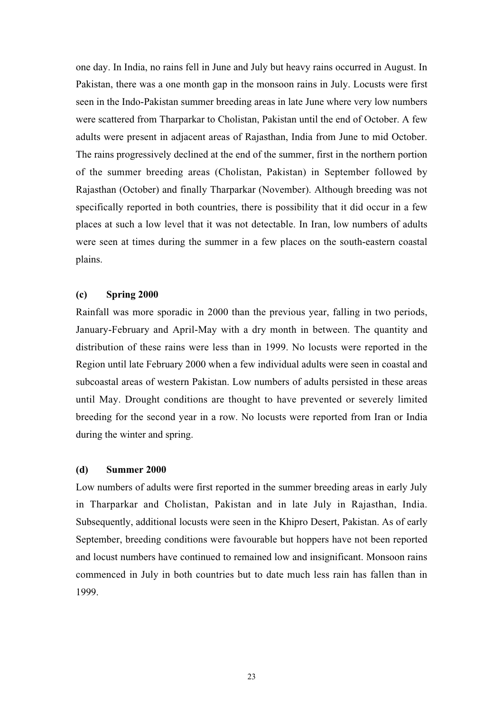one day. In India, no rains fell in June and July but heavy rains occurred in August. In Pakistan, there was a one month gap in the monsoon rains in July. Locusts were first seen in the Indo-Pakistan summer breeding areas in late June where very low numbers were scattered from Tharparkar to Cholistan, Pakistan until the end of October. A few adults were present in adjacent areas of Rajasthan, India from June to mid October. The rains progressively declined at the end of the summer, first in the northern portion of the summer breeding areas (Cholistan, Pakistan) in September followed by Rajasthan (October) and finally Tharparkar (November). Although breeding was not specifically reported in both countries, there is possibility that it did occur in a few places at such a low level that it was not detectable. In Iran, low numbers of adults were seen at times during the summer in a few places on the south-eastern coastal plains.

#### **(c) Spring 2000**

Rainfall was more sporadic in 2000 than the previous year, falling in two periods, January-February and April-May with a dry month in between. The quantity and distribution of these rains were less than in 1999. No locusts were reported in the Region until late February 2000 when a few individual adults were seen in coastal and subcoastal areas of western Pakistan. Low numbers of adults persisted in these areas until May. Drought conditions are thought to have prevented or severely limited breeding for the second year in a row. No locusts were reported from Iran or India during the winter and spring.

#### **(d) Summer 2000**

Low numbers of adults were first reported in the summer breeding areas in early July in Tharparkar and Cholistan, Pakistan and in late July in Rajasthan, India. Subsequently, additional locusts were seen in the Khipro Desert, Pakistan. As of early September, breeding conditions were favourable but hoppers have not been reported and locust numbers have continued to remained low and insignificant. Monsoon rains commenced in July in both countries but to date much less rain has fallen than in 1999.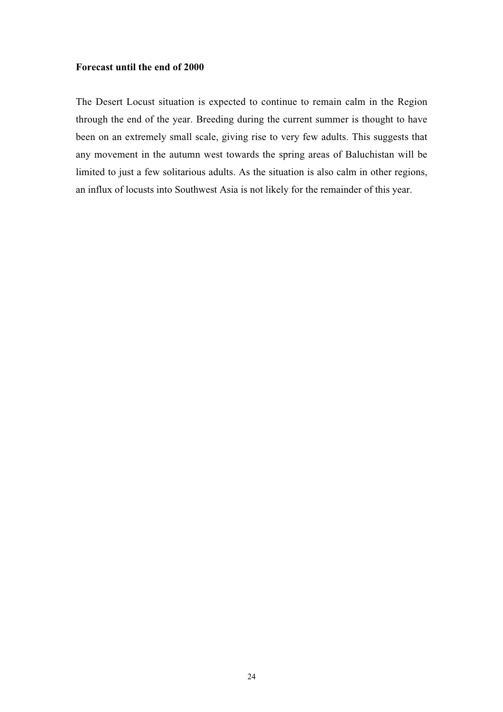#### **Forecast until the end of 2000**

The Desert Locust situation is expected to continue to remain calm in the Region through the end of the year. Breeding during the current summer is thought to have been on an extremely small scale, giving rise to very few adults. This suggests that any movement in the autumn west towards the spring areas of Baluchistan will be limited to just a few solitarious adults. As the situation is also calm in other regions, an influx of locusts into Southwest Asia is not likely for the remainder of this year.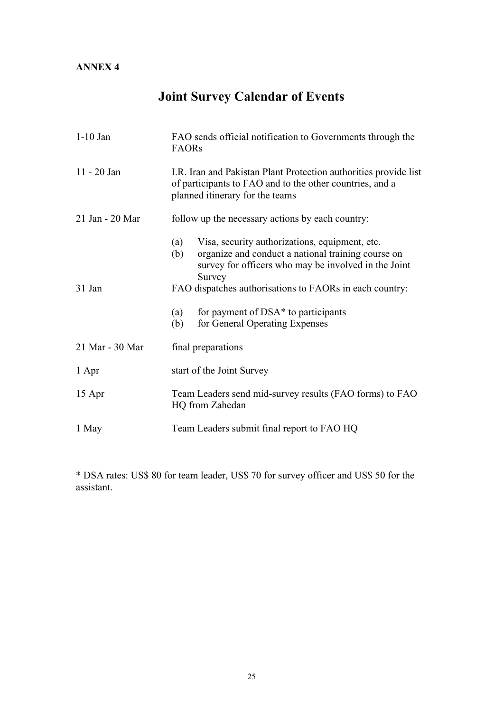# **Joint Survey Calendar of Events**

| $1-10$ Jan      | FAO sends official notification to Governments through the<br><b>FAORs</b>                                                                                                           |  |  |  |  |
|-----------------|--------------------------------------------------------------------------------------------------------------------------------------------------------------------------------------|--|--|--|--|
| $11 - 20$ Jan   | I.R. Iran and Pakistan Plant Protection authorities provide list<br>of participants to FAO and to the other countries, and a<br>planned itinerary for the teams                      |  |  |  |  |
| 21 Jan - 20 Mar | follow up the necessary actions by each country:                                                                                                                                     |  |  |  |  |
|                 | Visa, security authorizations, equipment, etc.<br>(a)<br>organize and conduct a national training course on<br>(b)<br>survey for officers who may be involved in the Joint<br>Survey |  |  |  |  |
| 31 Jan          | FAO dispatches authorisations to FAORs in each country:                                                                                                                              |  |  |  |  |
|                 | for payment of DSA* to participants<br>(a)<br>for General Operating Expenses<br>(b)                                                                                                  |  |  |  |  |
| 21 Mar - 30 Mar | final preparations                                                                                                                                                                   |  |  |  |  |
| 1 Apr           | start of the Joint Survey                                                                                                                                                            |  |  |  |  |
| 15 Apr          | Team Leaders send mid-survey results (FAO forms) to FAO<br>HQ from Zahedan                                                                                                           |  |  |  |  |
| 1 May           | Team Leaders submit final report to FAO HQ                                                                                                                                           |  |  |  |  |

\* DSA rates: US\$ 80 for team leader, US\$ 70 for survey officer and US\$ 50 for the assistant.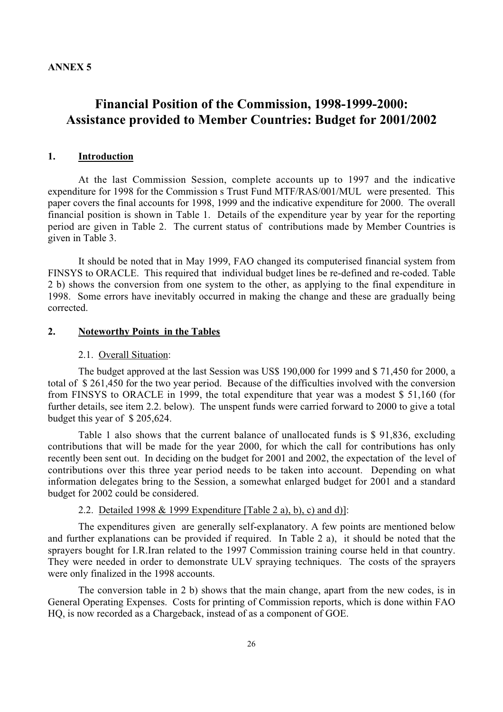## **Financial Position of the Commission, 1998-1999-2000: Assistance provided to Member Countries: Budget for 2001/2002**

#### **1. Introduction**

At the last Commission Session, complete accounts up to 1997 and the indicative expenditure for 1998 for the Commission s Trust Fund MTF/RAS/001/MUL were presented. This paper covers the final accounts for 1998, 1999 and the indicative expenditure for 2000. The overall financial position is shown in Table 1. Details of the expenditure year by year for the reporting period are given in Table 2. The current status of contributions made by Member Countries is given in Table 3.

It should be noted that in May 1999, FAO changed its computerised financial system from FINSYS to ORACLE. This required that individual budget lines be re-defined and re-coded. Table 2 b) shows the conversion from one system to the other, as applying to the final expenditure in 1998. Some errors have inevitably occurred in making the change and these are gradually being corrected.

#### **2. Noteworthy Points in the Tables**

#### 2.1. Overall Situation:

The budget approved at the last Session was US\$ 190,000 for 1999 and \$ 71,450 for 2000, a total of \$ 261,450 for the two year period. Because of the difficulties involved with the conversion from FINSYS to ORACLE in 1999, the total expenditure that year was a modest \$ 51,160 (for further details, see item 2.2. below). The unspent funds were carried forward to 2000 to give a total budget this year of \$ 205,624.

Table 1 also shows that the current balance of unallocated funds is \$ 91,836, excluding contributions that will be made for the year 2000, for which the call for contributions has only recently been sent out. In deciding on the budget for 2001 and 2002, the expectation of the level of contributions over this three year period needs to be taken into account. Depending on what information delegates bring to the Session, a somewhat enlarged budget for 2001 and a standard budget for 2002 could be considered.

#### 2.2. Detailed 1998 & 1999 Expenditure [Table 2 a), b), c) and d)]:

The expenditures given are generally self-explanatory. A few points are mentioned below and further explanations can be provided if required. In Table 2 a), it should be noted that the sprayers bought for I.R.Iran related to the 1997 Commission training course held in that country. They were needed in order to demonstrate ULV spraying techniques. The costs of the sprayers were only finalized in the 1998 accounts.

The conversion table in 2 b) shows that the main change, apart from the new codes, is in General Operating Expenses. Costs for printing of Commission reports, which is done within FAO HQ, is now recorded as a Chargeback, instead of as a component of GOE.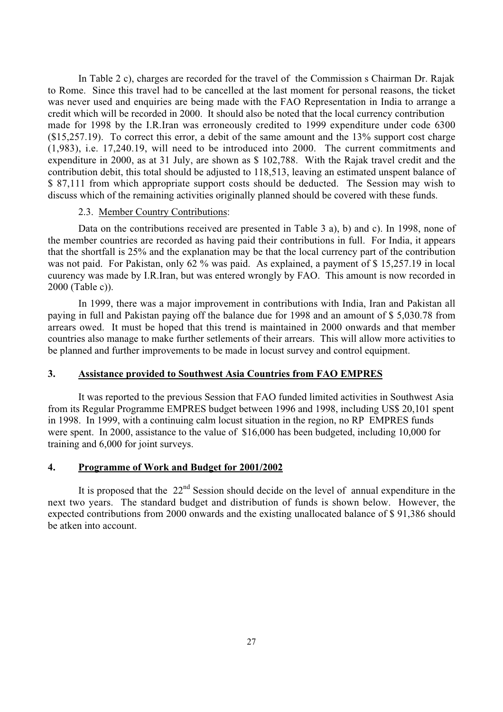In Table 2 c), charges are recorded for the travel of the Commission s Chairman Dr. Rajak to Rome. Since this travel had to be cancelled at the last moment for personal reasons, the ticket was never used and enquiries are being made with the FAO Representation in India to arrange a credit which will be recorded in 2000. It should also be noted that the local currency contribution made for 1998 by the I.R.Iran was erroneously credited to 1999 expenditure under code 6300 (\$15,257.19). To correct this error, a debit of the same amount and the 13% support cost charge (1,983), i.e. 17,240.19, will need to be introduced into 2000. The current commitments and expenditure in 2000, as at 31 July, are shown as \$ 102,788. With the Rajak travel credit and the contribution debit, this total should be adjusted to 118,513, leaving an estimated unspent balance of \$ 87,111 from which appropriate support costs should be deducted. The Session may wish to discuss which of the remaining activities originally planned should be covered with these funds.

#### 2.3. Member Country Contributions:

Data on the contributions received are presented in Table 3 a), b) and c). In 1998, none of the member countries are recorded as having paid their contributions in full. For India, it appears that the shortfall is 25% and the explanation may be that the local currency part of the contribution was not paid. For Pakistan, only 62 % was paid. As explained, a payment of \$15,257.19 in local cuurency was made by I.R.Iran, but was entered wrongly by FAO. This amount is now recorded in 2000 (Table c)).

In 1999, there was a major improvement in contributions with India, Iran and Pakistan all paying in full and Pakistan paying off the balance due for 1998 and an amount of \$ 5,030.78 from arrears owed. It must be hoped that this trend is maintained in 2000 onwards and that member countries also manage to make further setlements of their arrears. This will allow more activities to be planned and further improvements to be made in locust survey and control equipment.

#### **3. Assistance provided to Southwest Asia Countries from FAO EMPRES**

It was reported to the previous Session that FAO funded limited activities in Southwest Asia from its Regular Programme EMPRES budget between 1996 and 1998, including US\$ 20,101 spent in 1998. In 1999, with a continuing calm locust situation in the region, no RP EMPRES funds were spent. In 2000, assistance to the value of \$16,000 has been budgeted, including 10,000 for training and 6,000 for joint surveys.

#### **4. Programme of Work and Budget for 2001/2002**

It is proposed that the  $22<sup>nd</sup>$  Session should decide on the level of annual expenditure in the next two years. The standard budget and distribution of funds is shown below. However, the expected contributions from 2000 onwards and the existing unallocated balance of \$ 91,386 should be atken into account.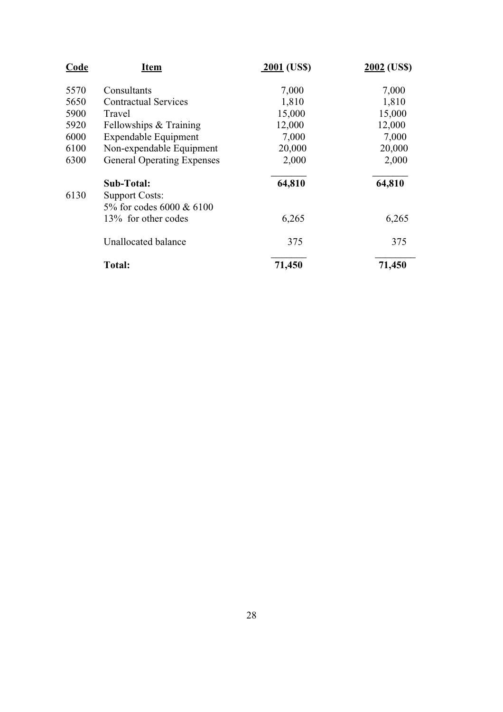| <b>Code</b> | <b>Item</b>                       | $2001$ (US\$) | 2002 (US\$) |
|-------------|-----------------------------------|---------------|-------------|
| 5570        | Consultants                       | 7,000         | 7,000       |
| 5650        | <b>Contractual Services</b>       | 1,810         | 1,810       |
| 5900        | Travel                            | 15,000        | 15,000      |
| 5920        | Fellowships & Training            | 12,000        | 12,000      |
| 6000        | <b>Expendable Equipment</b>       | 7,000         | 7,000       |
| 6100        | Non-expendable Equipment          | 20,000        | 20,000      |
| 6300        | <b>General Operating Expenses</b> | 2,000         | 2,000       |
|             | Sub-Total:                        | 64,810        | 64,810      |
| 6130        | <b>Support Costs:</b>             |               |             |
|             | 5% for codes 6000 & 6100          |               |             |
|             | 13% for other codes               | 6,265         | 6,265       |
|             | Unallocated balance               | 375           | 375         |
|             | Total:                            | 71,450        | 71,450      |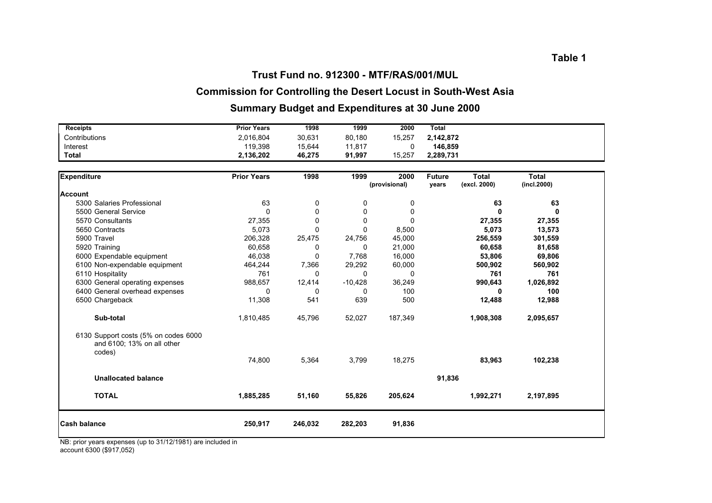#### **Trust Fund no. 912300 - MTF/RAS/001/MUL**

### **Commission for Controlling the Desert Locust in South-West Asia**

### **Summary Budget and Expenditures at 30 June 2000**

| <b>Receipts</b>                                                              | <b>Prior Years</b> | 1998     | 1999         | 2000          | <b>Total</b>  |              |              |  |
|------------------------------------------------------------------------------|--------------------|----------|--------------|---------------|---------------|--------------|--------------|--|
| Contributions                                                                | 2,016,804          | 30,631   | 80,180       | 15,257        | 2,142,872     |              |              |  |
| Interest                                                                     | 119,398            | 15,644   | 11,817       | 0             | 146,859       |              |              |  |
| <b>Total</b>                                                                 | 2,136,202          | 46,275   | 91,997       | 15,257        | 2,289,731     |              |              |  |
| <b>Expenditure</b>                                                           | <b>Prior Years</b> | 1998     | 1999         | 2000          | <b>Future</b> | <b>Total</b> | <b>Total</b> |  |
|                                                                              |                    |          |              | (provisional) | years         | (excl. 2000) | (incl. 2000) |  |
| <b>Account</b>                                                               |                    |          |              |               |               |              |              |  |
| 5300 Salaries Professional                                                   | 63                 | 0        | 0            | 0             |               | 63           | 63           |  |
| 5500 General Service                                                         | $\Omega$           | $\Omega$ | 0            | 0             |               | $\bf{0}$     | O            |  |
| 5570 Consultants                                                             | 27,355             | $\Omega$ | 0            | $\Omega$      |               | 27,355       | 27,355       |  |
| 5650 Contracts                                                               | 5,073              | $\Omega$ | $\Omega$     | 8,500         |               | 5,073        | 13,573       |  |
| 5900 Travel                                                                  | 206,328            | 25,475   | 24,756       | 45,000        |               | 256,559      | 301,559      |  |
| 5920 Training                                                                | 60,658             | 0        | 0            | 21,000        |               | 60,658       | 81,658       |  |
| 6000 Expendable equipment                                                    | 46,038             | 0        | 7,768        | 16,000        |               | 53,806       | 69,806       |  |
| 6100 Non-expendable equipment                                                | 464,244            | 7,366    | 29,292       | 60,000        |               | 500,902      | 560,902      |  |
| 6110 Hospitality                                                             | 761                | 0        | $\mathbf{0}$ | $\Omega$      |               | 761          | 761          |  |
| 6300 General operating expenses                                              | 988,657            | 12,414   | $-10,428$    | 36,249        |               | 990,643      | 1,026,892    |  |
| 6400 General overhead expenses                                               | $\mathbf{0}$       | 0        | $\mathbf{0}$ | 100           |               | 0            | 100          |  |
| 6500 Chargeback                                                              | 11,308             | 541      | 639          | 500           |               | 12,488       | 12,988       |  |
| Sub-total                                                                    | 1,810,485          | 45,796   | 52,027       | 187,349       |               | 1,908,308    | 2,095,657    |  |
| 6130 Support costs (5% on codes 6000<br>and 6100; 13% on all other<br>codes) |                    |          |              |               |               |              |              |  |
|                                                                              | 74,800             | 5,364    | 3,799        | 18,275        |               | 83,963       | 102,238      |  |
| <b>Unallocated balance</b>                                                   |                    |          |              |               | 91,836        |              |              |  |
| <b>TOTAL</b>                                                                 | 1,885,285          | 51,160   | 55,826       | 205,624       |               | 1,992,271    | 2,197,895    |  |
| <b>Cash balance</b>                                                          | 250,917            | 246,032  | 282,203      | 91,836        |               |              |              |  |

NB: prior years expenses (up to 31/12/1981) are included in account 6300 (\$917,052)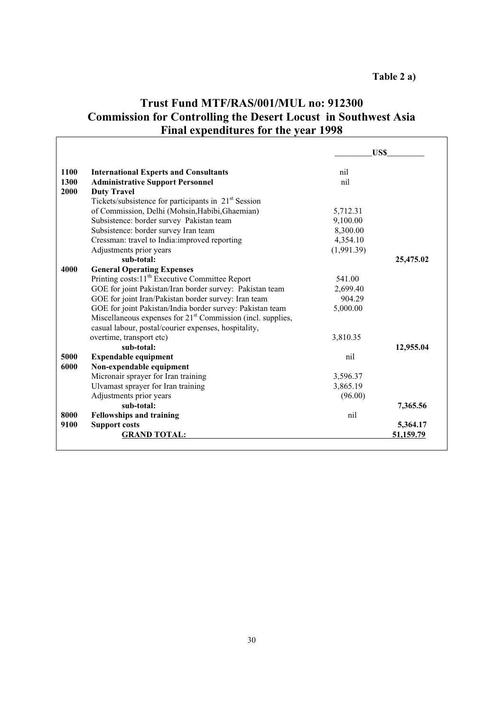## **Trust Fund MTF/RAS/001/MUL no: 912300 Commission for Controlling the Desert Locust in Southwest Asia Final expenditures for the year 1998**

|      |                                                                                                                                 |            | US\$      |
|------|---------------------------------------------------------------------------------------------------------------------------------|------------|-----------|
| 1100 | <b>International Experts and Consultants</b>                                                                                    | nil        |           |
| 1300 | <b>Administrative Support Personnel</b>                                                                                         | nil        |           |
| 2000 | <b>Duty Travel</b>                                                                                                              |            |           |
|      | Tickets/subsistence for participants in 21 <sup>st</sup> Session                                                                |            |           |
|      | of Commission, Delhi (Mohsin, Habibi, Ghaemian)                                                                                 | 5,712.31   |           |
|      | Subsistence: border survey Pakistan team                                                                                        | 9,100.00   |           |
|      | Subsistence: border survey Iran team                                                                                            | 8,300.00   |           |
|      | Cressman: travel to India:improved reporting                                                                                    | 4,354.10   |           |
|      | Adjustments prior years                                                                                                         | (1,991.39) |           |
|      | sub-total:                                                                                                                      |            | 25,475.02 |
| 4000 | <b>General Operating Expenses</b>                                                                                               |            |           |
|      | Printing costs: 11 <sup>th</sup> Executive Committee Report                                                                     | 541.00     |           |
|      | GOE for joint Pakistan/Iran border survey: Pakistan team                                                                        | 2,699.40   |           |
|      | GOE for joint Iran/Pakistan border survey: Iran team                                                                            | 904.29     |           |
|      | GOE for joint Pakistan/India border survey: Pakistan team                                                                       | 5,000.00   |           |
|      | Miscellaneous expenses for 21 <sup>st</sup> Commission (incl. supplies,<br>casual labour, postal/courier expenses, hospitality, |            |           |
|      | overtime, transport etc)                                                                                                        | 3,810.35   |           |
|      | sub-total:                                                                                                                      |            | 12,955.04 |
| 5000 | <b>Expendable equipment</b>                                                                                                     | nil        |           |
| 6000 | Non-expendable equipment                                                                                                        |            |           |
|      | Micronair sprayer for Iran training                                                                                             | 3,596.37   |           |
|      | Ulvamast sprayer for Iran training                                                                                              | 3,865.19   |           |
|      | Adjustments prior years                                                                                                         | (96.00)    |           |
|      | sub-total:                                                                                                                      |            | 7,365.56  |
| 8000 | <b>Fellowships and training</b>                                                                                                 | nil        |           |
| 9100 | <b>Support costs</b>                                                                                                            |            | 5,364.17  |
|      | <b>GRAND TOTAL:</b>                                                                                                             |            | 51,159.79 |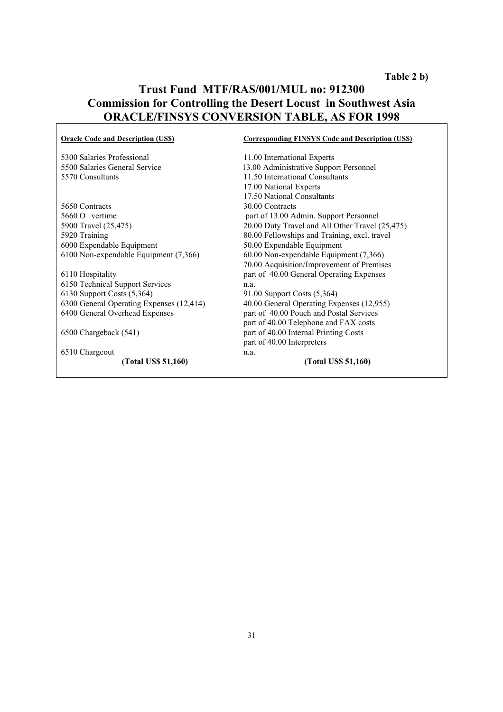### **Trust Fund MTF/RAS/001/MUL no: 912300 Commission for Controlling the Desert Locust in Southwest Asia ORACLE/FINSYS CONVERSION TABLE, AS FOR 1998**

| <b>Oracle Code and Description (US\$)</b> | <b>Corresponding FINSYS Code and Description (US\$)</b> |
|-------------------------------------------|---------------------------------------------------------|
| 5300 Salaries Professional                | 11.00 International Experts                             |
| 5500 Salaries General Service             | 13.00 Administrative Support Personnel                  |
| 5570 Consultants                          | 11.50 International Consultants                         |
|                                           | 17.00 National Experts                                  |
|                                           | 17.50 National Consultants                              |
| 5650 Contracts                            | 30.00 Contracts                                         |
| $5660 \Omega$ vertime                     | part of 13.00 Admin. Support Personnel                  |
| 5900 Travel (25,475)                      | 20.00 Duty Travel and All Other Travel (25,475)         |
| 5920 Training                             | 80.00 Fellowships and Training, excl. travel            |
| 6000 Expendable Equipment                 | 50.00 Expendable Equipment                              |
| 6100 Non-expendable Equipment (7,366)     | 60.00 Non-expendable Equipment (7,366)                  |
|                                           | 70.00 Acquisition/Improvement of Premises               |
| 6110 Hospitality                          | part of 40.00 General Operating Expenses                |
| 6150 Technical Support Services           | n.a.                                                    |
| 6130 Support Costs (5,364)                | 91.00 Support Costs (5,364)                             |
| 6300 General Operating Expenses (12,414)  | 40.00 General Operating Expenses (12,955)               |
| 6400 General Overhead Expenses            | part of 40.00 Pouch and Postal Services                 |
|                                           | part of 40.00 Telephone and FAX costs                   |
| 6500 Chargeback (541)                     | part of 40.00 Internal Printing Costs                   |
|                                           | part of 40.00 Interpreters                              |
| 6510 Chargeout                            | n.a.                                                    |
| (Total US\$ 51,160)                       | (Total US\$ 51,160)                                     |
|                                           |                                                         |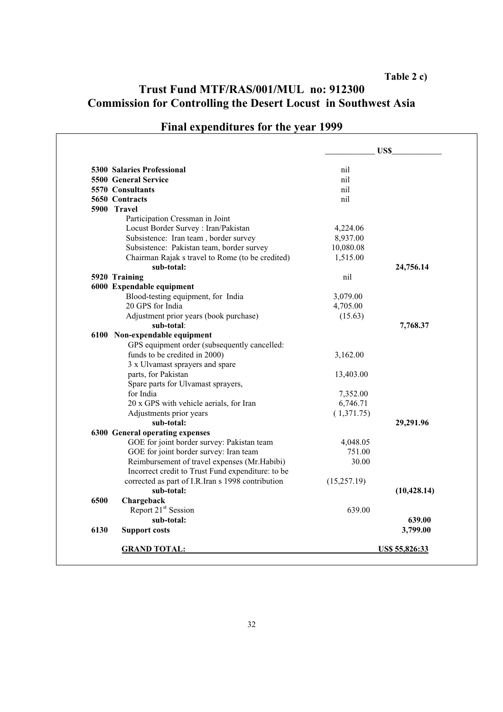### **Table 2 c)**

## **Trust Fund MTF/RAS/001/MUL no: 912300 Commission for Controlling the Desert Locust in Southwest Asia**

|             |                                                   |              | US\$                  |
|-------------|---------------------------------------------------|--------------|-----------------------|
|             | 5300 Salaries Professional                        | nil          |                       |
|             | <b>5500 General Service</b>                       | nil          |                       |
|             | 5570 Consultants                                  | nil          |                       |
|             | 5650 Contracts                                    | nil          |                       |
| 5900 Travel |                                                   |              |                       |
|             | Participation Cressman in Joint                   |              |                       |
|             | Locust Border Survey : Iran/Pakistan              | 4,224.06     |                       |
|             | Subsistence: Iran team, border survey             | 8,937.00     |                       |
|             | Subsistence: Pakistan team, border survey         | 10,080.08    |                       |
|             | Chairman Rajak s travel to Rome (to be credited)  | 1,515.00     |                       |
|             | sub-total:                                        |              | 24,756.14             |
|             | 5920 Training                                     | nil          |                       |
|             | 6000 Expendable equipment                         |              |                       |
|             | Blood-testing equipment, for India                | 3,079.00     |                       |
|             | 20 GPS for India                                  | 4,705.00     |                       |
|             | Adjustment prior years (book purchase)            | (15.63)      |                       |
|             | sub-total:                                        |              | 7,768.37              |
|             | 6100 Non-expendable equipment                     |              |                       |
|             | GPS equipment order (subsequently cancelled:      |              |                       |
|             | funds to be credited in 2000)                     | 3,162.00     |                       |
|             | 3 x Ulvamast sprayers and spare                   |              |                       |
|             | parts, for Pakistan                               | 13,403.00    |                       |
|             | Spare parts for Ulvamast sprayers,                |              |                       |
|             | for India                                         | 7,352.00     |                       |
|             | 20 x GPS with vehicle aerials, for Iran           | 6,746.71     |                       |
|             | Adjustments prior years                           | (1,371.75)   |                       |
|             | sub-total:                                        |              | 29,291.96             |
|             | 6300 General operating expenses                   |              |                       |
|             | GOE for joint border survey: Pakistan team        | 4,048.05     |                       |
|             | GOE for joint border survey: Iran team            | 751.00       |                       |
|             | Reimbursement of travel expenses (Mr.Habibi)      | 30.00        |                       |
|             | Incorrect credit to Trust Fund expenditure: to be |              |                       |
|             | corrected as part of I.R.Iran s 1998 contribution | (15, 257.19) |                       |
|             | sub-total:                                        |              | (10, 428.14)          |
| 6500        | Chargeback                                        |              |                       |
|             | Report 21 <sup>st</sup> Session                   | 639.00       |                       |
|             | sub-total:                                        |              | 639.00                |
| 6130        | <b>Support costs</b>                              |              | 3,799.00              |
|             | <b>GRAND TOTAL:</b>                               |              | <u>US\$ 55,826:33</u> |

## **Final expenditures for the year 1999**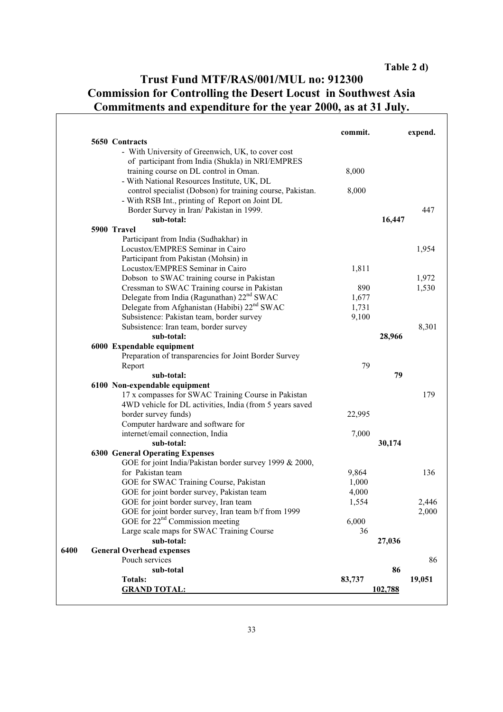## **Trust Fund MTF/RAS/001/MUL no: 912300 Commission for Controlling the Desert Locust in Southwest Asia Commitments and expenditure for the year 2000, as at 31 July.**

|                                                                                                        | commit.      |         | expend. |
|--------------------------------------------------------------------------------------------------------|--------------|---------|---------|
| 5650 Contracts                                                                                         |              |         |         |
| - With University of Greenwich, UK, to cover cost                                                      |              |         |         |
| of participant from India (Shukla) in NRI/EMPRES                                                       |              |         |         |
| training course on DL control in Oman.                                                                 | 8,000        |         |         |
| - With National Resources Institute, UK, DL                                                            |              |         |         |
| control specialist (Dobson) for training course, Pakistan.                                             | 8,000        |         |         |
| - With RSB Int., printing of Report on Joint DL                                                        |              |         |         |
| Border Survey in Iran/ Pakistan in 1999.                                                               |              |         | 447     |
| sub-total:                                                                                             |              | 16,447  |         |
| 5900 Travel                                                                                            |              |         |         |
| Participant from India (Sudhakhar) in<br>Locustox/EMPRES Seminar in Cairo                              |              |         | 1,954   |
|                                                                                                        |              |         |         |
| Participant from Pakistan (Mohsin) in<br>Locustox/EMPRES Seminar in Cairo                              |              |         |         |
|                                                                                                        | 1,811        |         |         |
| Dobson to SWAC training course in Pakistan                                                             |              |         | 1,972   |
| Cressman to SWAC Training course in Pakistan<br>Delegate from India (Ragunathan) 22 <sup>nd</sup> SWAC | 890<br>1,677 |         | 1,530   |
| Delegate from Afghanistan (Habibi) 22 <sup>nd</sup> SWAC                                               | 1,731        |         |         |
| Subsistence: Pakistan team, border survey                                                              | 9,100        |         |         |
| Subsistence: Iran team, border survey                                                                  |              |         | 8,301   |
| sub-total:                                                                                             |              | 28,966  |         |
| 6000 Expendable equipment                                                                              |              |         |         |
| Preparation of transparencies for Joint Border Survey                                                  |              |         |         |
| Report                                                                                                 | 79           |         |         |
| sub-total:                                                                                             |              | 79      |         |
| 6100 Non-expendable equipment                                                                          |              |         |         |
| 17 x compasses for SWAC Training Course in Pakistan                                                    |              |         | 179     |
| 4WD vehicle for DL activities, India (from 5 years saved                                               |              |         |         |
| border survey funds)                                                                                   | 22,995       |         |         |
| Computer hardware and software for                                                                     |              |         |         |
| internet/email connection, India                                                                       | 7,000        |         |         |
| sub-total:                                                                                             |              | 30,174  |         |
| <b>6300 General Operating Expenses</b>                                                                 |              |         |         |
| GOE for joint India/Pakistan border survey 1999 & 2000,                                                |              |         |         |
| for Pakistan team                                                                                      | 9,864        |         | 136     |
| GOE for SWAC Training Course, Pakistan                                                                 | 1,000        |         |         |
| GOE for joint border survey, Pakistan team                                                             | 4,000        |         |         |
| GOE for joint border survey, Iran team                                                                 | 1,554        |         | 2,446   |
| GOE for joint border survey, Iran team b/f from 1999                                                   |              |         | 2,000   |
| GOE for 22 <sup>nd</sup> Commission meeting                                                            | 6,000        |         |         |
| Large scale maps for SWAC Training Course                                                              | 36           |         |         |
| sub-total:                                                                                             |              | 27,036  |         |
| <b>General Overhead expenses</b>                                                                       |              |         |         |
| Pouch services                                                                                         |              |         | 86      |
| sub-total                                                                                              |              | 86      |         |
| <b>Totals:</b>                                                                                         | 83,737       |         | 19,051  |
| <b>GRAND TOTAL:</b>                                                                                    |              | 102,788 |         |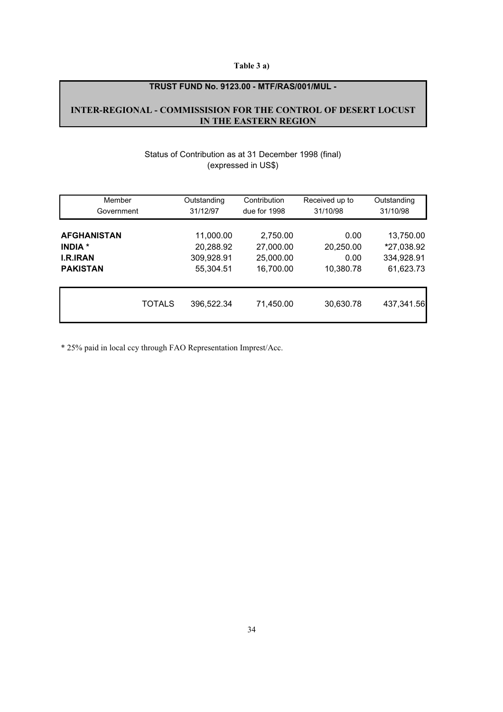#### **Table 3 a)**

#### **TRUST FUND No. 9123.00 - MTF/RAS/001/MUL -**

#### **INTER-REGIONAL - COMMISSISION FOR THE CONTROL OF DESERT LOCUST IN THE EASTERN REGION**

#### Status of Contribution as at 31 December 1998 (final) (expressed in US\$)

| Member             |               | Outstanding | Contribution | Received up to | Outstanding |
|--------------------|---------------|-------------|--------------|----------------|-------------|
| Government         |               | 31/12/97    | due for 1998 | 31/10/98       | 31/10/98    |
| <b>AFGHANISTAN</b> |               | 11,000.00   | 2,750.00     | 0.00           | 13,750.00   |
| <b>INDIA</b> *     |               | 20,288.92   | 27,000.00    | 20,250.00      | *27,038.92  |
| <b>I.R.IRAN</b>    |               | 309,928.91  | 25,000.00    | 0.00           | 334,928.91  |
| <b>PAKISTAN</b>    |               | 55,304.51   | 16,700.00    | 10,380.78      | 61,623.73   |
|                    | <b>TOTALS</b> | 396,522.34  | 71,450.00    | 30,630.78      | 437,341.56  |

\* 25% paid in local ccy through FAO Representation Imprest/Acc.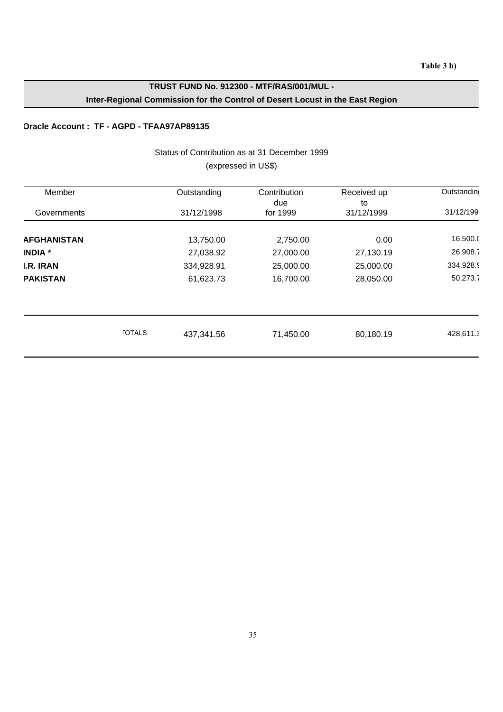### **TRUST FUND No. 912300 - MTF/RAS/001/MUL - Inter-Regional Commission for the Control of Desert Locust in the East Region**

#### **Oracle Account : TF - AGPD - TFAA97AP89135**

#### Status of Contribution as at 31 December 1999 (expressed in US\$)

| Member             |               | Outstanding | Contribution<br>due | Received up<br>to | Outstanding |
|--------------------|---------------|-------------|---------------------|-------------------|-------------|
| Governments        |               | 31/12/1998  | for 1999            | 31/12/1999        | 31/12/199   |
| <b>AFGHANISTAN</b> |               | 13,750.00   | 2,750.00            | 0.00              | 16,500.0    |
| <b>INDIA</b> *     |               | 27,038.92   | 27,000.00           | 27,130.19         | 26,908.7    |
| <b>I.R. IRAN</b>   |               | 334,928.91  | 25,000.00           | 25,000.00         | 334,928.9   |
| <b>PAKISTAN</b>    |               | 61,623.73   | 16,700.00           | 28,050.00         | 50,273.7    |
|                    |               |             |                     |                   |             |
|                    | <b>TOTALS</b> | 437,341.56  | 71,450.00           | 80,180.19         | 428,611.3   |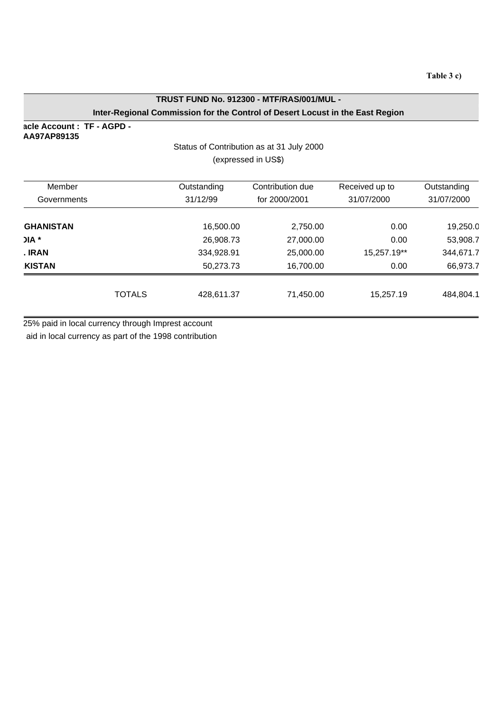### **TRUST FUND No. 912300 - MTF/RAS/001/MUL - Inter-Regional Commission for the Control of Desert Locust in the East Region**

**acle Account : TF - AGPD - AA97AP89135**

### Status of Contribution as at 31 July 2000 (expressed in US\$)

| Member<br>Governments |               | Outstanding<br>31/12/99 | Contribution due<br>for 2000/2001 | Received up to<br>31/07/2000 | Outstanding<br>31/07/2000 |  |  |
|-----------------------|---------------|-------------------------|-----------------------------------|------------------------------|---------------------------|--|--|
| <b>GHANISTAN</b>      |               | 16,500.00               | 2,750.00                          | 0.00                         | 19,250.0                  |  |  |
| $JIA$ *               |               | 26,908.73               | 27,000.00                         | 0.00                         | 53,908.7                  |  |  |
| . IRAN                |               | 334,928.91              | 25,000.00                         | 15,257.19**                  | 344,671.7                 |  |  |
| <b>KISTAN</b>         |               | 50,273.73               | 16,700.00                         | 0.00                         | 66,973.7                  |  |  |
|                       | <b>TOTALS</b> | 428,611.37              | 71,450.00                         | 15,257.19                    | 484,804.1                 |  |  |

25% paid in local currency through Imprest account

aid in local currency as part of the 1998 contribution